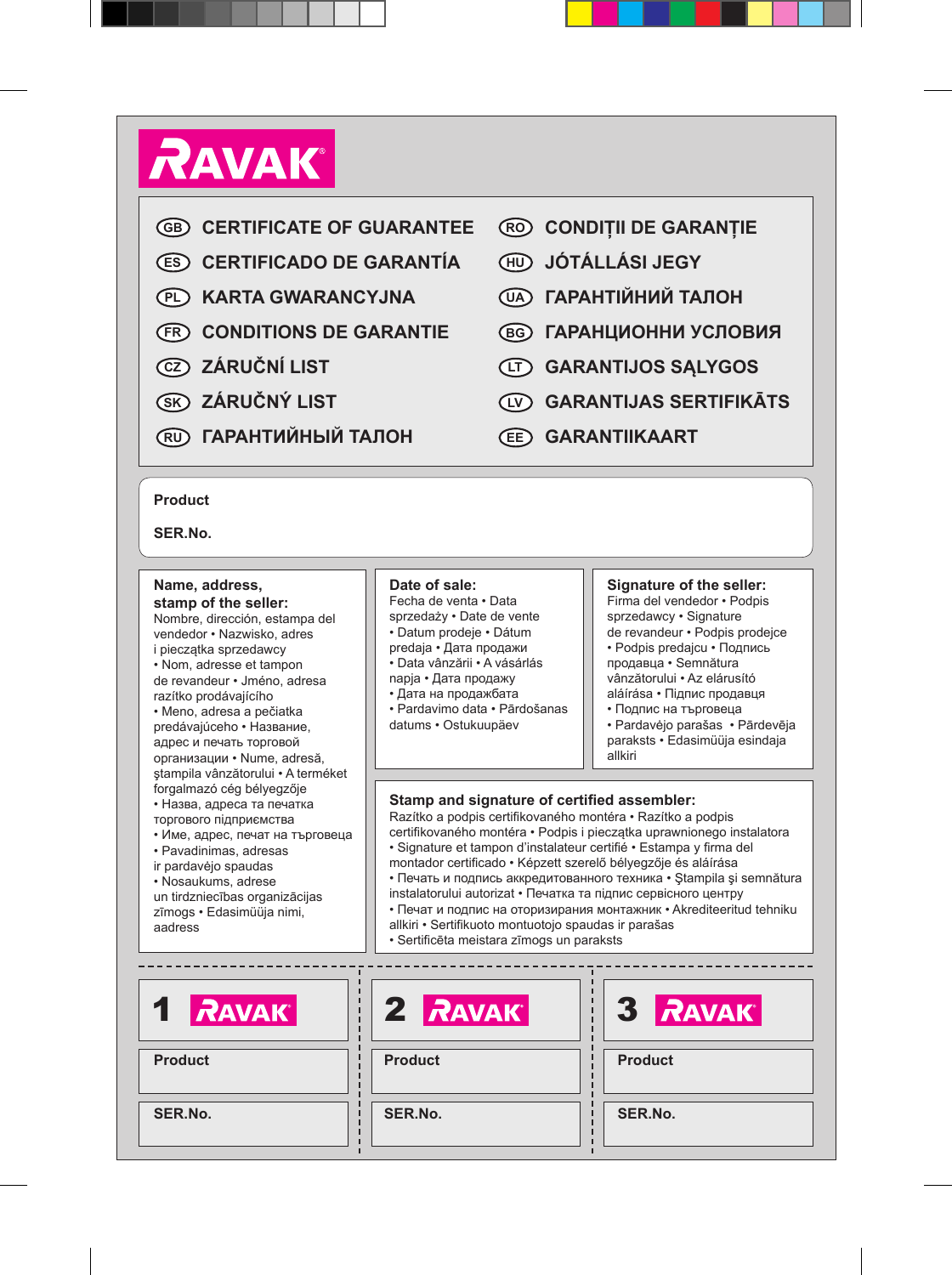# **RAVAK**

- **CERTIFICATE OF GUARANTEE GB**
- **CERTIFICADO DE GARANTÍA ES**
- **KARTA GWARANCYJNA PL**
- **CONDITIONS DE GARANTIE FR**
- **ZÁRUČNÍ LIST CZ**
- **ZÁRUČNÝ LIST SK**
- **ГАРАНТИЙНЫЙ ТАЛОН RU**
- **CONDIȚII DE GARANȚIE RO**
- **JÓTÁLLÁSI JEGY HU**
- **ГАРАНТIЙНИЙ ТАЛОН UA**
- **ГАРАНЦИОННИ УСЛОВИЯ BG**
- **GARANTIJOS SĄLYGOS LT**
- **GARANTIJAS SERTIFIKĀTS LV**
- **GARANTIIKAART EE**

#### **Product**

**SER.No.**

#### **Name, address, stamp of the seller:**

Nombre, dirección, estampa del vendedor • Nazwisko, adres i pieczątka sprzedawcy • Nom, adresse et tampon de revandeur • Jméno, adresa razítko prodávajícího • Meno, adresa a pečiatka predávajúceho • Название, адрес и печать торговой организации • Nume, adresă, ştampila vânzătorului • A terméket forgalmazó cég bélyegzője • Назва, адреса та печатка торгового підприємства • Име, адрес, печат на търговеца • Pavadinimas, adresas

- ir pardavėjo spaudas
- Nosaukums, adrese un tirdzniecības organizācijas zīmogs • Edasimüüja nimi,
- aadress

### **Date of sale:**

Fecha de venta • Data sprzedaży • Date de vente • Datum prodeje • Dátum

predaja • Дата продажи

- Data vânzării A vásárlás
- napja Дата продажу
- Дата на продажбата
- Pardavimo data Pārdošanas
- datums Ostukuupäev

#### **Signature of the seller:**

Firma del vendedor • Podpis sprzedawcy • Signature de revandeur • Podpis prodejce

- Podpis predaicu Подпись продавца • Semnătura vânzătorului • Az elárusító aláírása • Підпис продавця
- Подпис на търговеца
- Pardavėjo parašas Pārdevēja paraksts • Edasimüüja esindaja allkiri

#### **Stamp and signature of certified assembler:**

Razítko a podpis certifikovaného montéra • Razítko a podpis certifikovaného montéra • Podpis i pieczątka uprawnionego instalatora

- Signature et tampon d'instalateur certifié Estampa y firma del
- montador certificado Képzett szerelő bélyegzője és aláírása
- Печать и подпись аккредитованного техника Stampila și semnătura instalatorului autorizat • Печатка та підпис сервісного центру
- Печат и подпис на оторизирания монтажник Akrediteeritud tehniku
- allkiri Sertifikuoto montuotojo spaudas ir parašas
- Sertificēta meistara zīmogs un paraksts

| 1 RAVAK        | 2 RAVAK        | <b>3 RAVAK</b> |
|----------------|----------------|----------------|
| <b>Product</b> | <b>Product</b> | <b>Product</b> |
| SER.No.        | SER.No.        | SER.No.        |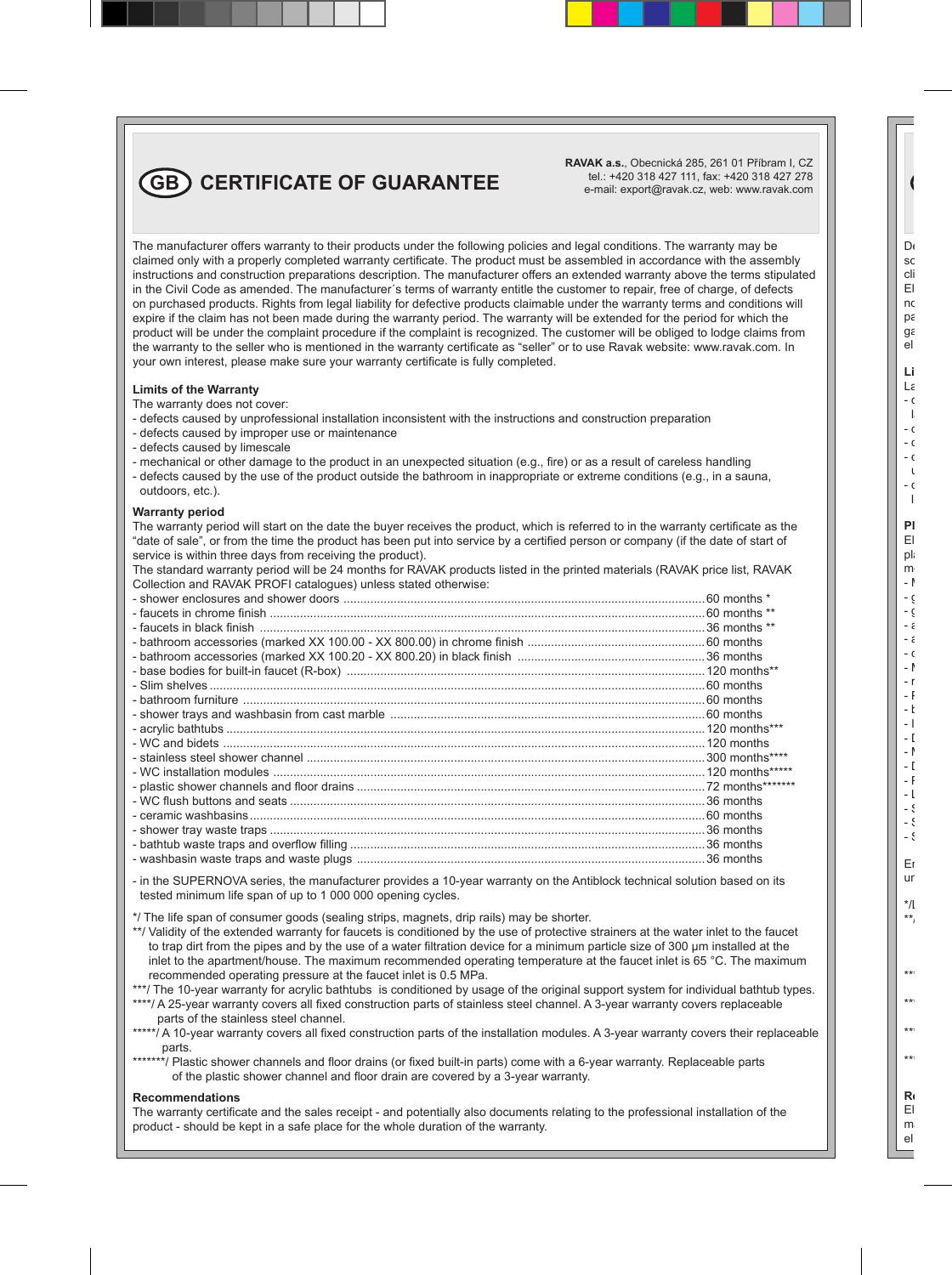### **GB CERTIFICATE OF GUARANTEE**

**RAVAK a.s.**, Obecnická 285, 261 01 Příbram I, CZ tel.: +420 318 427 111, fax: +420 318 427 278 e-mail: export@ravak.cz, web: www.ravak.com

The manufacturer offers warranty to their products under the following policies and legal conditions. The warranty may be claimed only with a properly completed warranty certificate. The product must be assembled in accordance with the assembly instructions and construction preparations description. The manufacturer offers an extended warranty above the terms stipulated in the Civil Code as amended. The manufacturer´s terms of warranty entitle the customer to repair, free of charge, of defects on purchased products. Rights from legal liability for defective products claimable under the warranty terms and conditions will expire if the claim has not been made during the warranty period. The warranty will be extended for the period for which the product will be under the complaint procedure if the complaint is recognized. The customer will be obliged to lodge claims from the warranty to the seller who is mentioned in the warranty certificate as "seller" or to use Ravak website: www.ravak.com. In your own interest, please make sure your warranty certificate is fully completed.

#### **Limits of the Warranty**

The warranty does not cover:

- defects caused by unprofessional installation inconsistent with the instructions and construction preparation
- defects caused by improper use or maintenance
- defects caused by limescale
- mechanical or other damage to the product in an unexpected situation (e.g., fire) or as a result of careless handling
- defects caused by the use of the product outside the bathroom in inappropriate or extreme conditions (e.g., in a sauna, outdoors, etc.).

#### **Warranty period**

The warranty period will start on the date the buyer receives the product, which is referred to in the warranty certificate as the "date of sale", or from the time the product has been put into service by a certified person or company (if the date of start of service is within three days from receiving the product).

The standard warranty period will be 24 months for RAVAK products listed in the printed materials (RAVAK price list, RAVAK Collection and RAVAK PROFI catalogues) unless stated otherwise:

- in the SUPERNOVA series, the manufacturer provides a 10-year warranty on the Antiblock technical solution based on its tested minimum life span of up to 1 000 000 opening cycles.
- \*/ The life span of consumer goods (sealing strips, magnets, drip rails) may be shorter.
- \*\*/ Validity of the extended warranty for faucets is conditioned by the use of protective strainers at the water inlet to the faucet to trap dirt from the pipes and by the use of a water filtration device for a minimum particle size of 300 μm installed at the inlet to the apartment/house. The maximum recommended operating temperature at the faucet inlet is 65 °C. The maximum recommended operating pressure at the faucet inlet is 0.5 MPa.
- \*\*\*/ The 10-year warranty for acrylic bathtubs is conditioned by usage of the original support system for individual bathtub types.
- \*\*\*\*/ A 25-year warranty covers all fixed construction parts of stainless steel channel. A 3-year warranty covers replaceable parts of the stainless steel channel.
- \*\*\*\*\*/ A 10-year warranty covers all fixed construction parts of the installation modules. A 3-year warranty covers their replaceable parts.
- \*\*\*\*\*\*\*/ Plastic shower channels and floor drains (or fixed built-in parts) come with a 6-year warranty. Replaceable parts of the plastic shower channel and floor drain are covered by a 3-year warranty.

#### **Recommendations**

The warranty certificate and the sales receipt - and potentially also documents relating to the professional installation of the product - should be kept in a safe place for the whole duration of the warranty.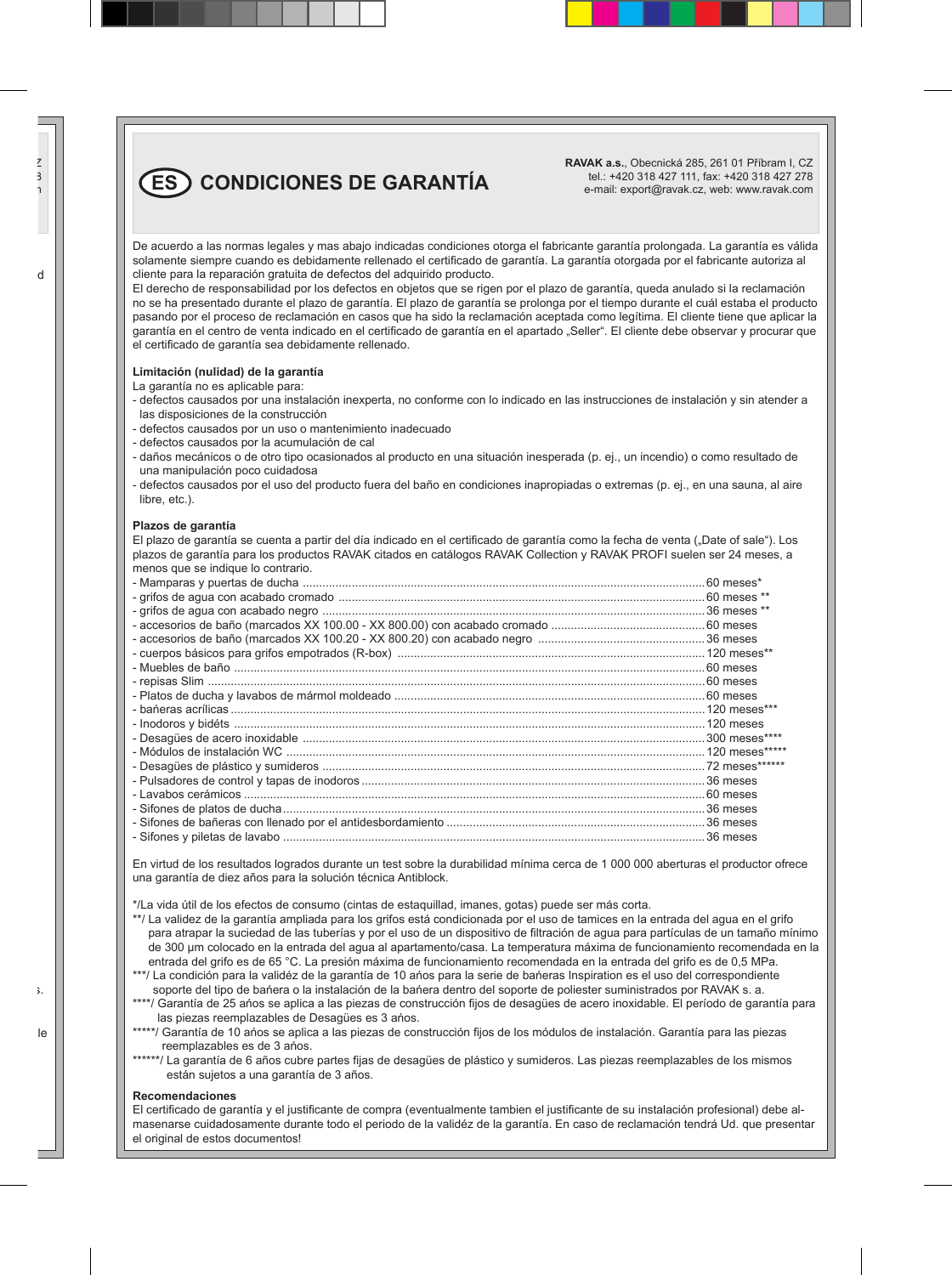$\binom{ES}{ES}$  CONDICIONES DE GARANTÍA

**RAVAK a.s.**, Obecnická 285, 261 01 Příbram I, CZ tel.: +420 318 427 111, fax: +420 318 427 278 e-mail: export@ravak.cz, web: www.ravak.com

De acuerdo a las normas legales y mas abajo indicadas condiciones otorga el fabricante garantía prolongada. La garantía es válida solamente siempre cuando es debidamente rellenado el certificado de garantía. La garantía otorgada por el fabricante autoriza al cliente para la reparación gratuita de defectos del adquirido producto.

El derecho de responsabilidad por los defectos en objetos que se rigen por el plazo de garantía, queda anulado si la reclamación no se ha presentado durante el plazo de garantía. El plazo de garantía se prolonga por el tiempo durante el cuál estaba el producto pasando por el proceso de reclamación en casos que ha sido la reclamación aceptada como legítima. El cliente tiene que aplicar la garantía en el centro de venta indicado en el certificado de garantía en el apartado "Seller". El cliente debe observar y procurar que el certificado de garantía sea debidamente rellenado.

#### **Limitación (nulidad) de la garantía**

La garantía no es aplicable para:

- defectos causados por una instalación inexperta, no conforme con lo indicado en las instrucciones de instalación y sin atender a las disposiciones de la construcción
- defectos causados por un uso o mantenimiento inadecuado
- defectos causados por la acumulación de cal
- daños mecánicos o de otro tipo ocasionados al producto en una situación inesperada (p. ej., un incendio) o como resultado de una manipulación poco cuidadosa
- defectos causados por el uso del producto fuera del baño en condiciones inapropiadas o extremas (p. ej., en una sauna, al aire libre, etc.).

#### **Plazos de garantía**

El plazo de garantía se cuenta a partir del día indicado en el certificado de garantía como la fecha de venta ("Date of sale"). Los plazos de garantía para los productos RAVAK citados en catálogos RAVAK Collection y RAVAK PROFI suelen ser 24 meses, a menos que se indique lo contrario.

En virtud de los resultados logrados durante un test sobre la durabilidad mínima cerca de 1 000 000 aberturas el productor ofrece una garantía de diez aňos para la solución técnica Antiblock.

\*/La vida útil de los efectos de consumo (cintas de estaquillad, imanes, gotas) puede ser más corta.

- \*\*/ La validez de la garantía ampliada para los grifos está condicionada por el uso de tamices en la entrada del agua en el grifo para atrapar la suciedad de las tuberías y por el uso de un dispositivo de filtración de agua para partículas de un tamaño mínimo de 300 μm colocado en la entrada del agua al apartamento/casa. La temperatura máxima de funcionamiento recomendada en la entrada del grifo es de 65 °C. La presión máxima de funcionamiento recomendada en la entrada del grifo es de 0,5 MPa.
- \*\*\*/ La condición para la validéz de la garantía de 10 años para la serie de bańeras Inspiration es el uso del correspondiente soporte del tipo de bańera o la instalación de la bańera dentro del soporte de poliester suministrados por RAVAK s. a.
- \*\*\*\*/ Garantía de 25 ańos se aplica a las piezas de construcción fijos de desagües de acero inoxidable. El período de garantía para las piezas reemplazables de Desagües es 3 ańos.
- \*\*\*\*\*/ Garantía de 10 años se aplica a las piezas de construcción fijos de los módulos de instalación. Garantía para las piezas reemplazables es de 3 ańos.
- \*\*\*\*\*\*/ La garantía de 6 años cubre partes fijas de desagües de plástico y sumideros. Las piezas reemplazables de los mismos están sujetos a una garantía de 3 años.

#### **Recomendaciones**

El certificado de garantía y el justificante de compra (eventualmente tambien el justificante de su instalación profesional) debe almasenarse cuidadosamente durante todo el periodo de la validéz de la garantía. En caso de reclamación tendrá Ud. que presentar el original de estos documentos!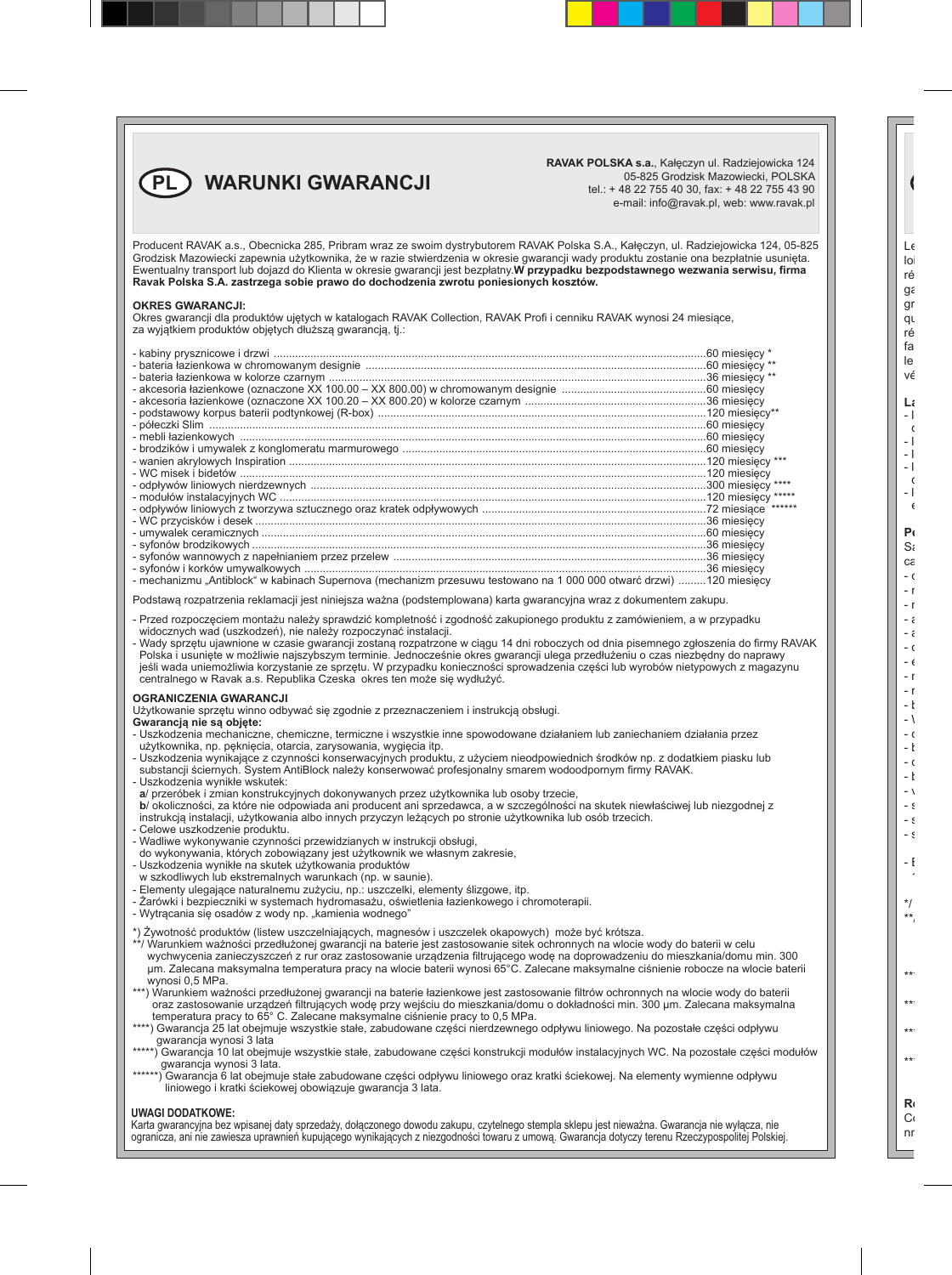

**RAVAK POLSKA s.a.**, Kałęczyn ul. Radziejowicka 124 05-825 Grodzisk Mazowiecki, POLSKA tel.: + 48 22 755 40 30, fax: + 48 22 755 43 90 e-mail: info@ravak.pl, web: www.ravak.pl

Producent RAVAK a.s., Obecnicka 285, Pribram wraz ze swoim dystrybutorem RAVAK Polska S.A., Kałęczyn, ul. Radziejowicka 124, 05-825 Grodzisk Mazowiecki zapewnia użytkownika, że w razie stwierdzenia w okresie gwarancji wady produktu zostanie ona bezpłatnie usunięta. Ewentualny transport lub dojazd do Klienta w okresie gwarancji jest bezpłatny.**W przypadku bezpodstawnego wezwania serwisu, firma Ravak Polska S.A. zastrzega sobie prawo do dochodzenia zwrotu poniesionych kosztów.**

#### **OKRES GWARANCJI:**

Okres gwarancji dla produktów ujętych w katalogach RAVAK Collection, RAVAK Profi i cenniku RAVAK wynosi 24 miesiące, za wyjątkiem produktów objętych dłuższą gwarancją, tj.:

| - mechanizmu "Antiblock" w kabinach Supernova (mechanizm przesuwu testowano na 1 000 000 otwarć drzwi) 120 miesiecv |  |
|---------------------------------------------------------------------------------------------------------------------|--|

Podstawą rozpatrzenia reklamacji jest niniejsza ważna (podstemplowana) karta gwarancyjna wraz z dokumentem zakupu.

- Przed rozpoczęciem montażu należy sprawdzić kompletność i zgodność zakupionego produktu z zamówieniem, a w przypadku widocznych wad (uszkodzeń), nie należy rozpoczynać instalacji.
- Wady sprzętu ujawnione w czasie gwarancji zostaną rozpatrzone w ciągu 14 dni roboczych od dnia pisemnego zgłoszenia do firmy RAVAK Polska i usunięte w możliwie najszybszym terminie. Jednocześnie okres gwarancji ulega przedłużeniu o czas niezbędny do naprawy jeśli wada uniemożliwia korzystanie ze sprzętu. W przypadku konieczności sprowadzenia części lub wyrobów nietypowych z magazynu centralnego w Ravak a.s. Republika Czeska okres ten może się wydłużyć.

#### **OGRANICZENIA GWARANCJI**

Użytkowanie sprzętu winno odbywać się zgodnie z przeznaczeniem i instrukcją obsługi.

**Gwarancją nie są objęte:**

- Uszkodzenia mechaniczne, chemiczne, termiczne i wszystkie inne spowodowane działaniem lub zaniechaniem działania przez użytkownika, np. pęknięcia, otarcia, zarysowania, wygięcia itp.
- Uszkodzenia wynikające z czynności konserwacyjnych produktu, z użyciem nieodpowiednich środków np. z dodatkiem piasku lub substancji ściernych. System AntiBlock należy konserwować profesjonalny smarem wodoodpornym firmy RAVAK.

- Uszkodzenia wynikłe wskutek: **a**/ przeróbek i zmian konstrukcyjnych dokonywanych przez użytkownika lub osoby trzecie, **b**/ okoliczności, za które nie odpowiada ani producent ani sprzedawca, a w szczególności na skutek niewłaściwej lub niezgodnej z instrukcją instalacji, użytkowania albo innych przyczyn leżących po stronie użytkownika lub osób trzecich.

- Celowe uszkodzenie produktu.
- Wadliwe wykonywanie czynności przewidzianych w instrukcji obsługi,
- do wykonywania, których zobowiązany jest użytkownik we własnym zakresie,
- Uszkodzenia wynikłe na skutek użytkowania produktów w szkodliwych lub ekstremalnych warunkach (np. w saunie).
- Elementy ulegające naturalnemu zużyciu, np.: uszczelki, elementy ślizgowe, itp.
- Żarówki i bezpieczniki w systemach hydromasażu, oświetlenia łazienkowego i chromoterapii.
- Wytrącania się osadów z wody np. "kamienia wodnego"

\*) Żywotność produktów (listew uszczelniających, magnesów i uszczelek okapowych) może być krótsza.

- \*\*/ Warunkiem ważności przedłużonej gwarancji na baterie jest zastosowanie sitek ochronnych na wlocie wody do baterii w celu wychwycenia zanieczyszczeń z rur oraz zastosowanie urządzenia filtrującego wodę na doprowadzeniu do mieszkania/domu min. 300 μm. Zalecana maksymalna temperatura pracy na wlocie baterii wynosi 65°C. Zalecane maksymalne ciśnienie robocze na wlocie baterii wynosi 0,5 MPa.
- \*\*\*) Warunkiem ważności przedłużonej gwarancji na baterie łazienkowe jest zastosowanie filtrów ochronnych na wlocie wody do baterii oraz zastosowanie urządzeń filtrujących wodę przy wejściu do mieszkania/domu o dokładności min. 300 μm. Zalecana maksymalna temperatura pracy to 65° C. Zalecane maksymalne ciśnienie pracy to 0,5 MPa.
- \*\*\*\*) Gwarancja 25 lat obejmuje wszystkie stałe, zabudowane części nierdzewnego odpływu liniowego. Na pozostałe części odpływu gwarancja wynosi 3 lata
- \*\*\*\*\*) Gwarancja 10 lat obejmuje wszystkie stałe, zabudowane części konstrukcji modułów instalacyjnych WC. Na pozostałe części modułów gwarancja wynosi 3 lata.
- \*\*\*\*\*\*) Gwarancja 6 lat obejmuje stałe zabudowane części odpływu liniowego oraz kratki ściekowej. Na elementy wymienne odpływu liniowego i kratki ściekowej obowiązuje gwarancja 3 lata.

#### **UWAGI DODATKOWE:**

Karta gwarancyjna bez wpisanej daty sprzedaży, dołączonego dowodu zakupu, czytelnego stempla sklepu jest nieważna. Gwarancja nie wyłącza, nie ogranicza, ani nie zawiesza uprawnień kupującego wynikających z niezgodności towaru z umową. Gwarancja dotyczy terenu Rzeczypospolitej Polskiej.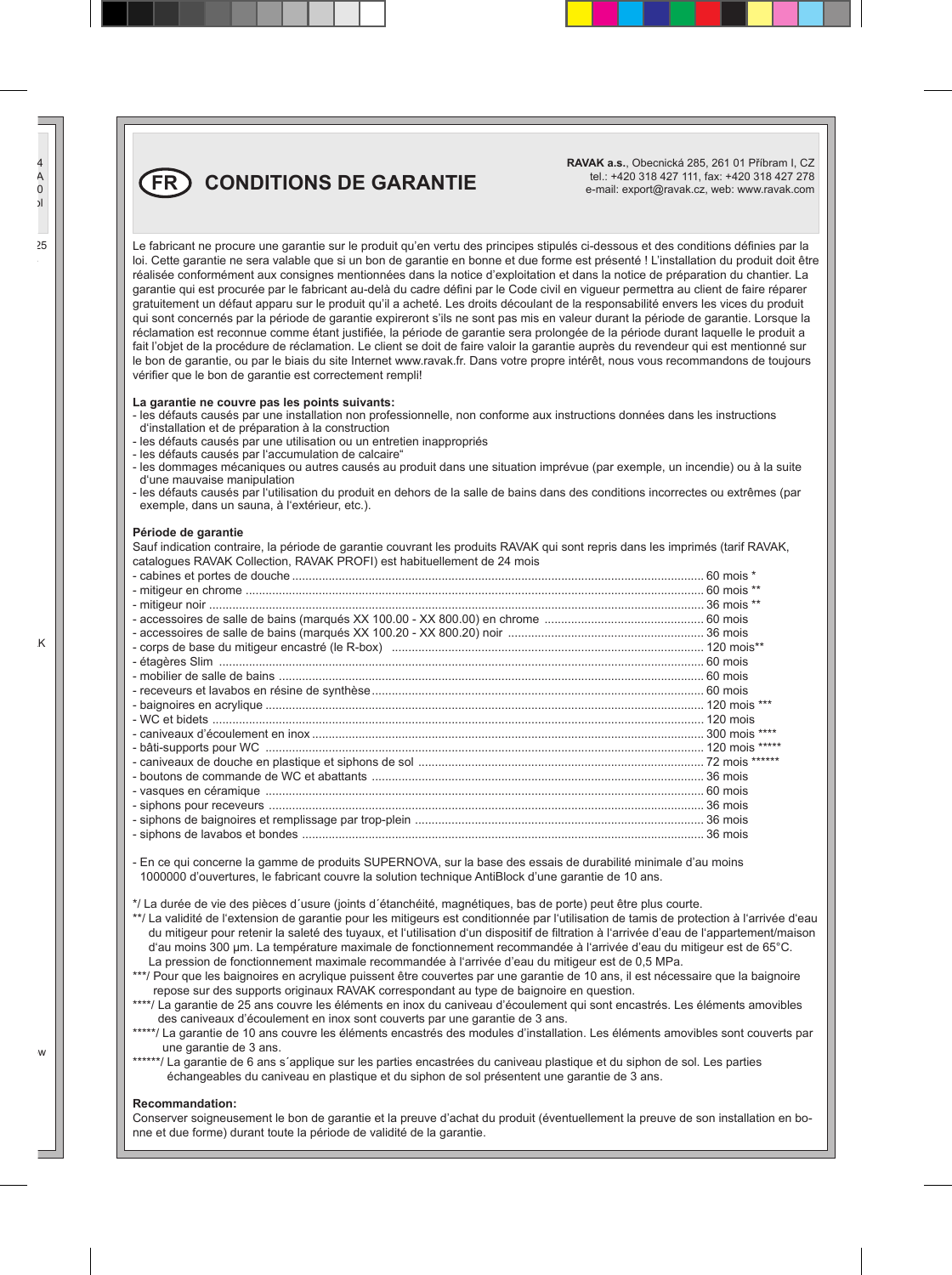**RAVAK a.s.**, Obecnická 285, 261 01 Příbram I, CZ tel.: +420 318 427 111, fax: +420 318 427 278 e-mail: export@ravak.cz, web: www.ravak.com

**FR CONDITIONS DE GARANTIE**

Le fabricant ne procure une garantie sur le produit qu'en vertu des principes stipulés ci-dessous et des conditions définies par la loi. Cette garantie ne sera valable que si un bon de garantie en bonne et due forme est présenté ! L'installation du produit doit être réalisée conformément aux consignes mentionnées dans la notice d'exploitation et dans la notice de préparation du chantier. La garantie qui est procurée par le fabricant au-delà du cadre défini par le Code civil en vigueur permettra au client de faire réparer gratuitement un défaut apparu sur le produit qu'il a acheté. Les droits découlant de la responsabilité envers les vices du produit qui sont concernés par la période de garantie expireront s'ils ne sont pas mis en valeur durant la période de garantie. Lorsque la réclamation est reconnue comme étant justifiée, la période de garantie sera prolongée de la période durant laquelle le produit a fait l'objet de la procédure de réclamation. Le client se doit de faire valoir la garantie auprès du revendeur qui est mentionné sur le bon de garantie, ou par le biais du site Internet www.ravak.fr. Dans votre propre intérêt, nous vous recommandons de toujours vérifier que le bon de garantie est correctement rempli!

#### **La garantie ne couvre pas les points suivants:**

- les défauts causés par une installation non professionnelle, non conforme aux instructions données dans les instructions d'installation et de préparation à la construction
- les défauts causés par une utilisation ou un entretien inappropriés
- les défauts causés par l'accumulation de calcaire"
- les dommages mécaniques ou autres causés au produit dans une situation imprévue (par exemple, un incendie) ou à la suite d'une mauvaise manipulation
- les défauts causés par l'utilisation du produit en dehors de la salle de bains dans des conditions incorrectes ou extrêmes (par exemple, dans un sauna, à l'extérieur, etc.).

#### **Période de garantie**

Sauf indication contraire, la période de garantie couvrant les produits RAVAK qui sont repris dans les imprimés (tarif RAVAK, catalogues RAVAK Collection, RAVAK PROFI) est habituellement de 24 mois

- En ce qui concerne la gamme de produits SUPERNOVA, sur la base des essais de durabilité minimale d'au moins 1000000 d'ouvertures, le fabricant couvre la solution technique AntiBlock d'une garantie de 10 ans.

\*/ La durée de vie des pièces d´usure (joints d´étanchéité, magnétiques, bas de porte) peut être plus courte.

- \*\*/ La validité de l'extension de garantie pour les mitigeurs est conditionnée par l'utilisation de tamis de protection à l'arrivée d'eau du mitigeur pour retenir la saleté des tuyaux, et l'utilisation d'un dispositif de filtration à l'arrivée d'eau de l'appartement/maison d'au moins 300 μm. La température maximale de fonctionnement recommandée à l'arrivée d'eau du mitigeur est de 65°C. La pression de fonctionnement maximale recommandée à l'arrivée d'eau du mitigeur est de 0,5 MPa.
- \*\*\*/ Pour que les baignoires en acrylique puissent être couvertes par une garantie de 10 ans, il est nécessaire que la baignoire repose sur des supports originaux RAVAK correspondant au type de baignoire en question.
- \*\*\*\*/ La garantie de 25 ans couvre les éléments en inox du caniveau d'écoulement qui sont encastrés. Les éléments amovibles des caniveaux d'écoulement en inox sont couverts par une garantie de 3 ans.
- \*\*\*\*\*/ La garantie de 10 ans couvre les éléments encastrés des modules d'installation. Les éléments amovibles sont couverts par une garantie de 3 ans.
- \*\*\*\*\*\*/ La garantie de 6 ans s'applique sur les parties encastrées du caniveau plastique et du siphon de sol. Les parties échangeables du caniveau en plastique et du siphon de sol présentent une garantie de 3 ans.

#### **Recommandation:**

Conserver soigneusement le bon de garantie et la preuve d'achat du produit (éventuellement la preuve de son installation en bonne et due forme) durant toute la période de validité de la garantie.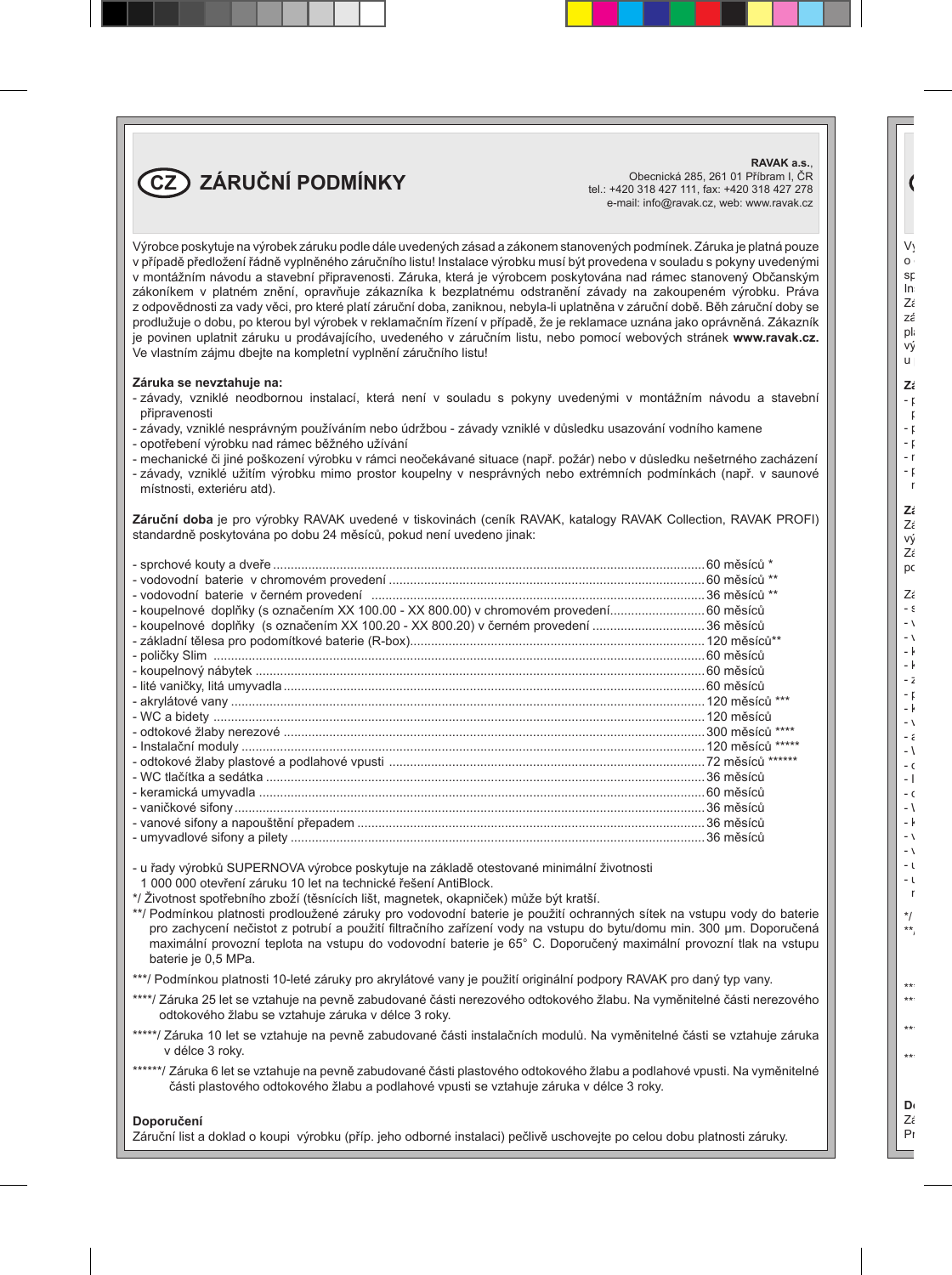**CZ ZÁRUČNÍ PODMÍNKY**

**RAVAK a.s.**, Obecnická 285, 261 01 Příbram I, ČR tel.: +420 318 427 111, fax: +420 318 427 278 e-mail: info@ravak.cz, web: www.ravak.cz

Výrobce poskytuje na výrobek záruku podle dále uvedených zásad a zákonem stanovených podmínek. Záruka je platná pouze v případě předložení řádně vyplněného záručního listu! Instalace výrobku musí být provedena v souladu s pokyny uvedenými v montážním návodu a stavební připravenosti. Záruka, která je výrobcem poskytována nad rámec stanovený Občanským zákoníkem v platném znění, opravňuje zákazníka k bezplatnému odstranění závady na zakoupeném výrobku. Práva z odpovědnosti za vady věci, pro které platí záruční doba, zaniknou, nebyla-li uplatněna v záruční době. Běh záruční doby se prodlužuje o dobu, po kterou byl výrobek v reklamačním řízení v případě, že je reklamace uznána jako oprávněná. Zákazník je povinen uplatnit záruku u prodávajícího, uvedeného v záručním listu, nebo pomocí webových stránek **www.ravak.cz.** Ve vlastním zájmu dbejte na kompletní vyplnění záručního listu!

#### **Záruka se nevztahuje na:**

- závady, vzniklé neodbornou instalací, která není v souladu s pokyny uvedenými v montážním návodu a stavební připravenosti
- závady, vzniklé nesprávným používáním nebo údržbou závady vzniklé v důsledku usazování vodního kamene
- opotřebení výrobku nad rámec běžného užívání
- mechanické či jiné poškození výrobku v rámci neočekávané situace (např. požár) nebo v důsledku nešetrného zacházení
- závady, vzniklé užitím výrobku mimo prostor koupelny v nesprávných nebo extrémních podmínkách (např. v saunové místnosti, exteriéru atd).

**Záruční doba** je pro výrobky RAVAK uvedené v tiskovinách (ceník RAVAK, katalogy RAVAK Collection, RAVAK PROFI) standardně poskytována po dobu 24 měsíců, pokud není uvedeno jinak:

| - koupelnové doplňky (s označením XX 100.00 - XX 800.00) v chromovém provedení 60 měsíců |  |
|------------------------------------------------------------------------------------------|--|
| - koupelnové doplňky (s označením XX 100.20 - XX 800.20) v černém provedení 36 měsíců    |  |
|                                                                                          |  |
|                                                                                          |  |
|                                                                                          |  |
|                                                                                          |  |
|                                                                                          |  |
|                                                                                          |  |
|                                                                                          |  |
|                                                                                          |  |
|                                                                                          |  |
|                                                                                          |  |
|                                                                                          |  |
|                                                                                          |  |
|                                                                                          |  |
|                                                                                          |  |
|                                                                                          |  |

- u řady výrobků SUPERNOVA výrobce poskytuje na základě otestované minimální životnosti 1 000 000 otevření záruku 10 let na technické řešení AntiBlock.

\*/ Životnost spotřebního zboží (těsnících lišt, magnetek, okapniček) může být kratší.

\*\*/ Podmínkou platnosti prodloužené záruky pro vodovodní baterie je použití ochranných sítek na vstupu vody do baterie pro zachycení nečistot z potrubí a použití filtračního zařízení vody na vstupu do bytu/domu min. 300 μm. Doporučená maximální provozní teplota na vstupu do vodovodní baterie je 65° C. Doporučený maximální provozní tlak na vstupu baterie je 0,5 MPa.

\*\*\*/ Podmínkou platnosti 10-leté záruky pro akrylátové vany je použití originální podpory RAVAK pro daný typ vany.

- \*\*\*\*/ Záruka 25 let se vztahuje na pevně zabudované části nerezového odtokového žlabu. Na vyměnitelné části nerezového odtokového žlabu se vztahuje záruka v délce 3 roky.
- \*\*\*\*\*/ Záruka 10 let se vztahuje na pevně zabudované části instalačních modulů. Na vyměnitelné části se vztahuje záruka v délce 3 roky.
- \*\*\*\*\*\*/ Záruka 6 let se vztahuje na pevně zabudované části plastového odtokového žlabu a podlahové vpusti. Na vyměnitelné části plastového odtokového žlabu a podlahové vpusti se vztahuje záruka v délce 3 roky.

#### **Doporučení**

Záruční list a doklad o koupi výrobku (příp. jeho odborné instalaci) pečlivě uschovejte po celou dobu platnosti záruky.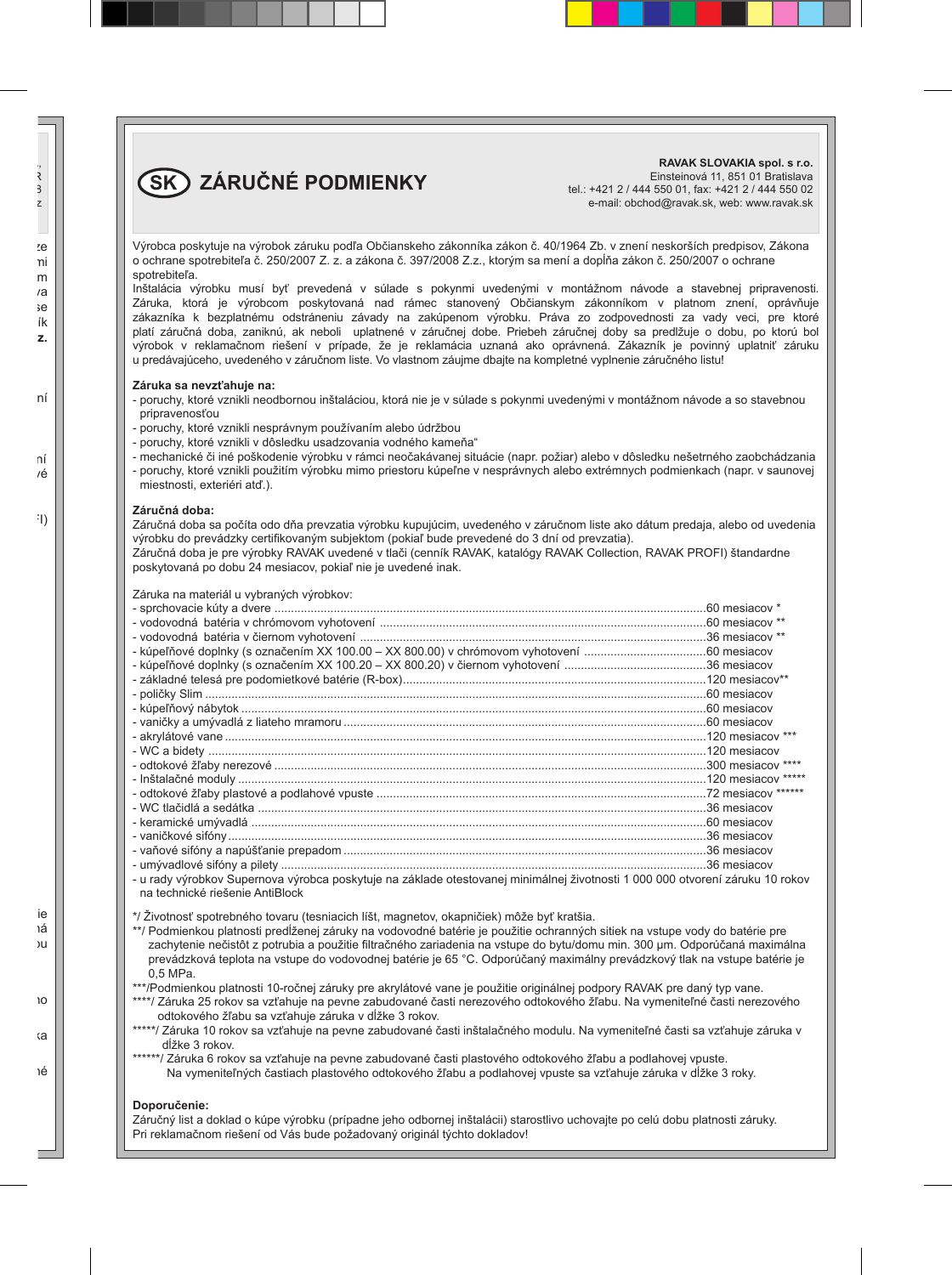**SK ZÁRUČNÉ PODMIENKY**

**RAVAK SLOVAKIA spol. s r.o.** Einsteinová 11, 851 01 Bratislava tel.: +421 2 / 444 550 01, fax: +421 2 / 444 550 02 e-mail: obchod@ravak.sk, web: www.ravak.sk

Výrobca poskytuje na výrobok záruku podľa Občianskeho zákonníka zákon č. 40/1964 Zb. v znení neskorších predpisov, Zákona o ochrane spotrebiteľa č. 250/2007 Z. z. a zákona č. 397/2008 Z.z., ktorým sa mení a dopĺňa zákon č. 250/2007 o ochrane spotrebiteľa.

Inštalácia výrobku musí byť prevedená v súlade s pokynmi uvedenými v montážnom návode a stavebnej pripravenosti. Záruka, ktorá je výrobcom poskytovaná nad rámec stanovený Občianskym zákonníkom v platnom znení, oprávňuje zákazníka k bezplatnému odstráneniu závady na zakúpenom výrobku. Práva zo zodpovednosti za vady veci, pre ktoré platí záručná doba, zaniknú, ak neboli uplatnené v záručnej dobe. Priebeh záručnej doby sa predlžuje o dobu, po ktorú bol výrobok v reklamačnom riešení v prípade, že je reklamácia uznaná ako oprávnená. Zákazník je povinný uplatniť záruku u predávajúceho, uvedeného v záručnom liste. Vo vlastnom záujme dbajte na kompletné vyplnenie záručného listu!

#### **Záruka sa nevzťahuje na:**

- poruchy, ktoré vznikli neodbornou inštaláciou, ktorá nie je v súlade s pokynmi uvedenými v montážnom návode a so stavebnou pripravenosťou
- poruchy, ktoré vznikli nesprávnym používaním alebo údržbou
- poruchy, ktoré vznikli v dôsledku usadzovania vodného kameňa"
- mechanické či iné poškodenie výrobku v rámci neočakávanej situácie (napr. požiar) alebo v dôsledku nešetrného zaobchádzania
- poruchy, ktoré vznikli použitím výrobku mimo priestoru kúpeľne v nesprávnych alebo extrémnych podmienkach (napr. v saunovej miestnosti, exteriéri atď.).

#### **Záručná doba:**

Záručná doba sa počíta odo dňa prevzatia výrobku kupujúcim, uvedeného v záručnom liste ako dátum predaja, alebo od uvedenia výrobku do prevádzky certifikovaným subjektom (pokiaľ bude prevedené do 3 dní od prevzatia).

Záručná doba je pre výrobky RAVAK uvedené v tlači (cenník RAVAK, katalógy RAVAK Collection, RAVAK PROFI) štandardne poskytovaná po dobu 24 mesiacov, pokiaľ nie je uvedené inak.

| Záruka na materiál u vybraných výrobkov:                                                                                    |  |
|-----------------------------------------------------------------------------------------------------------------------------|--|
|                                                                                                                             |  |
|                                                                                                                             |  |
|                                                                                                                             |  |
|                                                                                                                             |  |
|                                                                                                                             |  |
|                                                                                                                             |  |
|                                                                                                                             |  |
|                                                                                                                             |  |
|                                                                                                                             |  |
|                                                                                                                             |  |
|                                                                                                                             |  |
|                                                                                                                             |  |
|                                                                                                                             |  |
|                                                                                                                             |  |
|                                                                                                                             |  |
|                                                                                                                             |  |
|                                                                                                                             |  |
|                                                                                                                             |  |
|                                                                                                                             |  |
| u rady výrobkov Supernova výrobca poskytuje na základe otestovanej minimálnej životnosti 1 000 000 otvorení záruku 10 rokov |  |

dy vyrobkov Supernova vyrobca poskyt na technické riešenie AntiBlock

\*/ Životnosť spotrebného tovaru (tesniacich líšt, magnetov, okapničiek) môže byť kratšia.

\*\*/ Podmienkou platnosti predĺženej záruky na vodovodné batérie je použitie ochranných sitiek na vstupe vody do batérie pre zachytenie nečistôt z potrubia a použitie filtračného zariadenia na vstupe do bytu/domu min. 300 μm. Odporúčaná maximálna prevádzková teplota na vstupe do vodovodnej batérie je 65 °C. Odporúčaný maximálny prevádzkový tlak na vstupe batérie je 0,5 MPa.

\*\*\*/Podmienkou platnosti 10-ročnej záruky pre akrylátové vane je použitie originálnej podpory RAVAK pre daný typ vane.

\*\*\*\*/ Záruka 25 rokov sa vzťahuje na pevne zabudované časti nerezového odtokového žľabu. Na vymeniteľné časti nerezového odtokového žľabu sa vzťahuje záruka v dĺžke 3 rokov.

\*\*\*\*\*/ Záruka 10 rokov sa vzťahuje na pevne zabudované časti inštalačného modulu. Na vymeniteľné časti sa vzťahuje záruka v dĺžke 3 rokov.

\*\*\*\*\*\*/ Záruka 6 rokov sa vzťahuje na pevne zabudované časti plastového odtokového žľabu a podlahovej vpuste. Na vymeniteľných častiach plastového odtokového žľabu a podlahovej vpuste sa vzťahuje záruka v dĺžke 3 roky.

#### **Doporučenie:**

Záručný list a doklad o kúpe výrobku (prípadne jeho odbornej inštalácii) starostlivo uchovajte po celú dobu platnosti záruky. Pri reklamačnom riešení od Vás bude požadovaný originál týchto dokladov!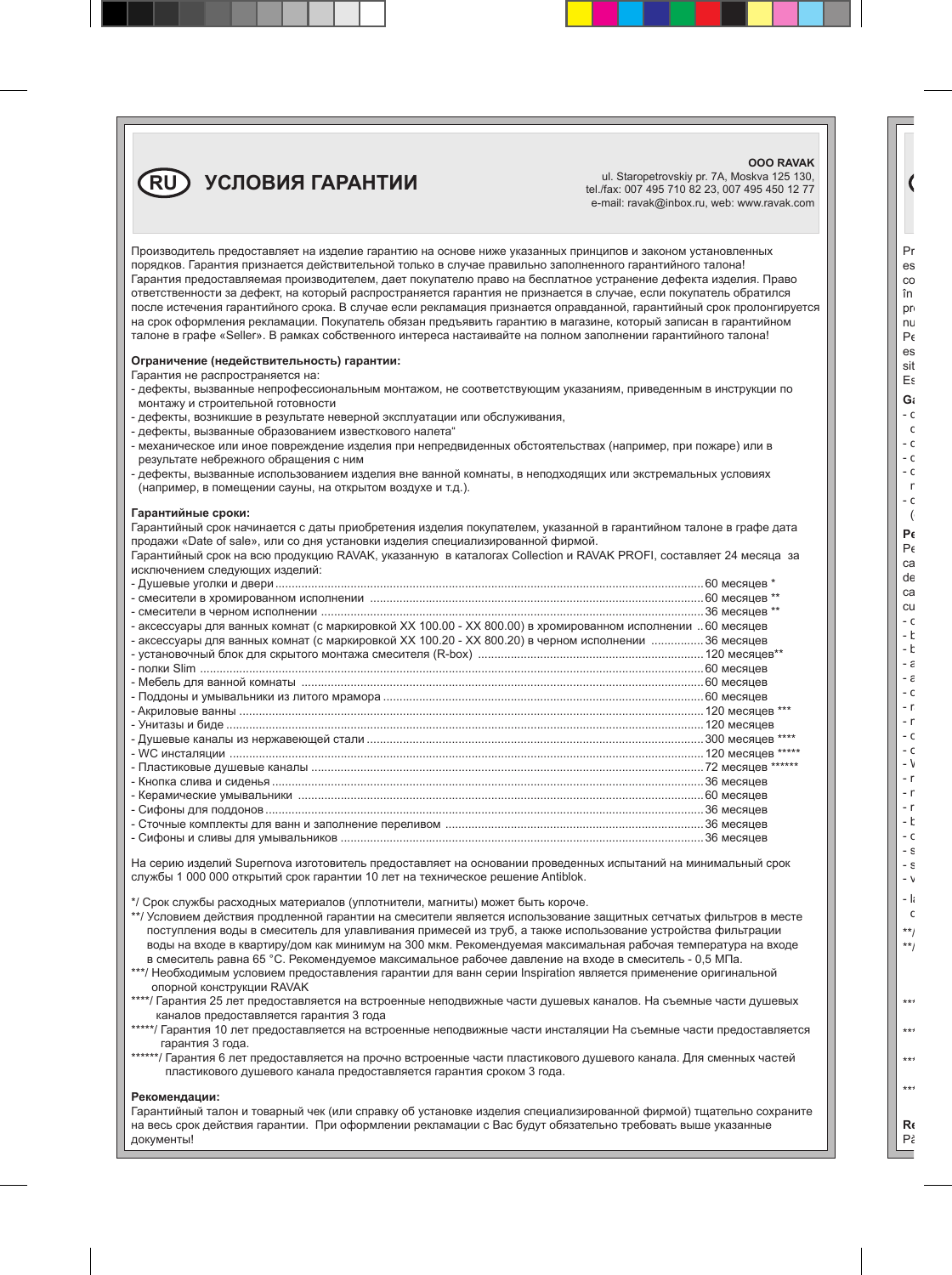### **RU УСЛОВИЯ ГАРАНТИИ**

ul. Staropetrovskiy pr. 7A, Moskva 125 130, tel./fax: 007 495 710 82 23, 007 495 450 12 77 e-mail: ravak@inbox.ru, web: www.ravak.com

**OOO RAVAK**

| Производитель предоставляет на изделие гарантию на основе ниже указанных принципов и законом установленных<br>порядков. Гарантия признается действительной только в случае правильно заполненного гарантийного талона!<br>Гарантия предоставляемая производителем, дает покупателю право на бесплатное устранение дефекта изделия. Право<br>ответственности за дефект, на который распространяется гарантия не признается в случае, если покупатель обратился<br>после истечения гарантийного срока. В случае если рекламация признается оправданной, гарантийный срок пролонгируется<br>на срок оформления рекламации. Покупатель обязан предъявить гарантию в магазине, который записан в гарантийном<br>талоне в графе «Seller». В рамках собственного интереса настаивайте на полном заполнении гарантийного талона! |  |
|--------------------------------------------------------------------------------------------------------------------------------------------------------------------------------------------------------------------------------------------------------------------------------------------------------------------------------------------------------------------------------------------------------------------------------------------------------------------------------------------------------------------------------------------------------------------------------------------------------------------------------------------------------------------------------------------------------------------------------------------------------------------------------------------------------------------------|--|
| Ограничение (недействительность) гарантии:<br>Гарантия не распространяется на:<br>- дефекты, вызванные непрофессиональным монтажом, не соответствующим указаниям, приведенным в инструкции по<br>монтажу и строительной готовности<br>- дефекты, возникшие в результате неверной эксплуатации или обслуживания,<br>- дефекты, вызванные образованием известкового налета"<br>- механическое или иное повреждение изделия при непредвиденных обстоятельствах (например, при пожаре) или в<br>результате небрежного обращения с ним<br>- дефекты, вызванные использованием изделия вне ванной комнаты, в неподходящих или экстремальных условиях<br>(например, в помещении сауны, на открытом воздухе и т.д.).                                                                                                             |  |
| Гарантийные сроки:<br>Гарантийный срок начинается с даты приобретения изделия покупателем, указанной в гарантийном талоне в графе дата<br>продажи «Date of sale», или со дня установки изделия специализированной фирмой.<br>Гарантийный срок на всю продукцию RAVAK, указанную в каталогах Collection и RAVAK PROFI, составляет 24 месяца за<br>исключением следующих изделий:                                                                                                                                                                                                                                                                                                                                                                                                                                          |  |
|                                                                                                                                                                                                                                                                                                                                                                                                                                                                                                                                                                                                                                                                                                                                                                                                                          |  |
|                                                                                                                                                                                                                                                                                                                                                                                                                                                                                                                                                                                                                                                                                                                                                                                                                          |  |
| - аксессуары для ванных комнат (с маркировкой XX 100.00 - XX 800.00) в хромированном исполнении  60 месяцев                                                                                                                                                                                                                                                                                                                                                                                                                                                                                                                                                                                                                                                                                                              |  |
| - аксессуары для ванных комнат (с маркировкой XX 100.20 - XX 800.20) в черном исполнении 36 месяцев                                                                                                                                                                                                                                                                                                                                                                                                                                                                                                                                                                                                                                                                                                                      |  |
|                                                                                                                                                                                                                                                                                                                                                                                                                                                                                                                                                                                                                                                                                                                                                                                                                          |  |
|                                                                                                                                                                                                                                                                                                                                                                                                                                                                                                                                                                                                                                                                                                                                                                                                                          |  |
|                                                                                                                                                                                                                                                                                                                                                                                                                                                                                                                                                                                                                                                                                                                                                                                                                          |  |
|                                                                                                                                                                                                                                                                                                                                                                                                                                                                                                                                                                                                                                                                                                                                                                                                                          |  |
|                                                                                                                                                                                                                                                                                                                                                                                                                                                                                                                                                                                                                                                                                                                                                                                                                          |  |
|                                                                                                                                                                                                                                                                                                                                                                                                                                                                                                                                                                                                                                                                                                                                                                                                                          |  |
|                                                                                                                                                                                                                                                                                                                                                                                                                                                                                                                                                                                                                                                                                                                                                                                                                          |  |
|                                                                                                                                                                                                                                                                                                                                                                                                                                                                                                                                                                                                                                                                                                                                                                                                                          |  |
|                                                                                                                                                                                                                                                                                                                                                                                                                                                                                                                                                                                                                                                                                                                                                                                                                          |  |
|                                                                                                                                                                                                                                                                                                                                                                                                                                                                                                                                                                                                                                                                                                                                                                                                                          |  |
|                                                                                                                                                                                                                                                                                                                                                                                                                                                                                                                                                                                                                                                                                                                                                                                                                          |  |
|                                                                                                                                                                                                                                                                                                                                                                                                                                                                                                                                                                                                                                                                                                                                                                                                                          |  |
|                                                                                                                                                                                                                                                                                                                                                                                                                                                                                                                                                                                                                                                                                                                                                                                                                          |  |
|                                                                                                                                                                                                                                                                                                                                                                                                                                                                                                                                                                                                                                                                                                                                                                                                                          |  |

На серию изделий Supernova изготовитель предоставляет на основании проведенных испытаний на минимальный срок службы 1 000 000 открытий срок гарантии 10 лет на техническое решение Antiblok.

\*/ Срок службы расходных материалов (уплотнители, магниты) может быть короче.

\*\*/ Условием действия продленной гарантии на смесители является использование защитных сетчатых фильтров в месте поступления воды в смеситель для улавливания примесей из труб, а также использование устройства фильтрации воды на входе в квартиру/дом как минимум на 300 мкм. Рекомендуемая максимальная рабочая температура на входе в смеситель равна 65 °C. Рекомендуемое максимальное рабочее давление на входе в смеситель - 0,5 МПа.

\*\*\*/ Необходимым условием предоставления гарантии для ванн серии Inspiration является применение оригинальной опорной конструкции RAVAK

\*\*\*\*/ Гарантия 25 лет предоставляется на встроенные неподвижные части душевых каналов. На съемные части душевых каналов предоставляется гарантия 3 года

- \*\*\*\*\*/ Гарантия 10 лет предоставляется на встроенные неподвижные части инсталяции На съемные части предоставляется гарантия 3 года.
- \*\*\*\*\*\*/ Гарантия 6 лет предоставляется на прочно встроенные части пластикового душевого канала. Для сменных частей пластикового душевого канала предоставляется гарантия сроком 3 года.

#### **Рекомендации:**

Гарантийный талон и товарный чек (или справку об установке изделия специализированной фирмой) тщательно сохраните на весь срок действия гарантии. При оформлении рекламации с Вас будут обязательно требовать выше указанные документы!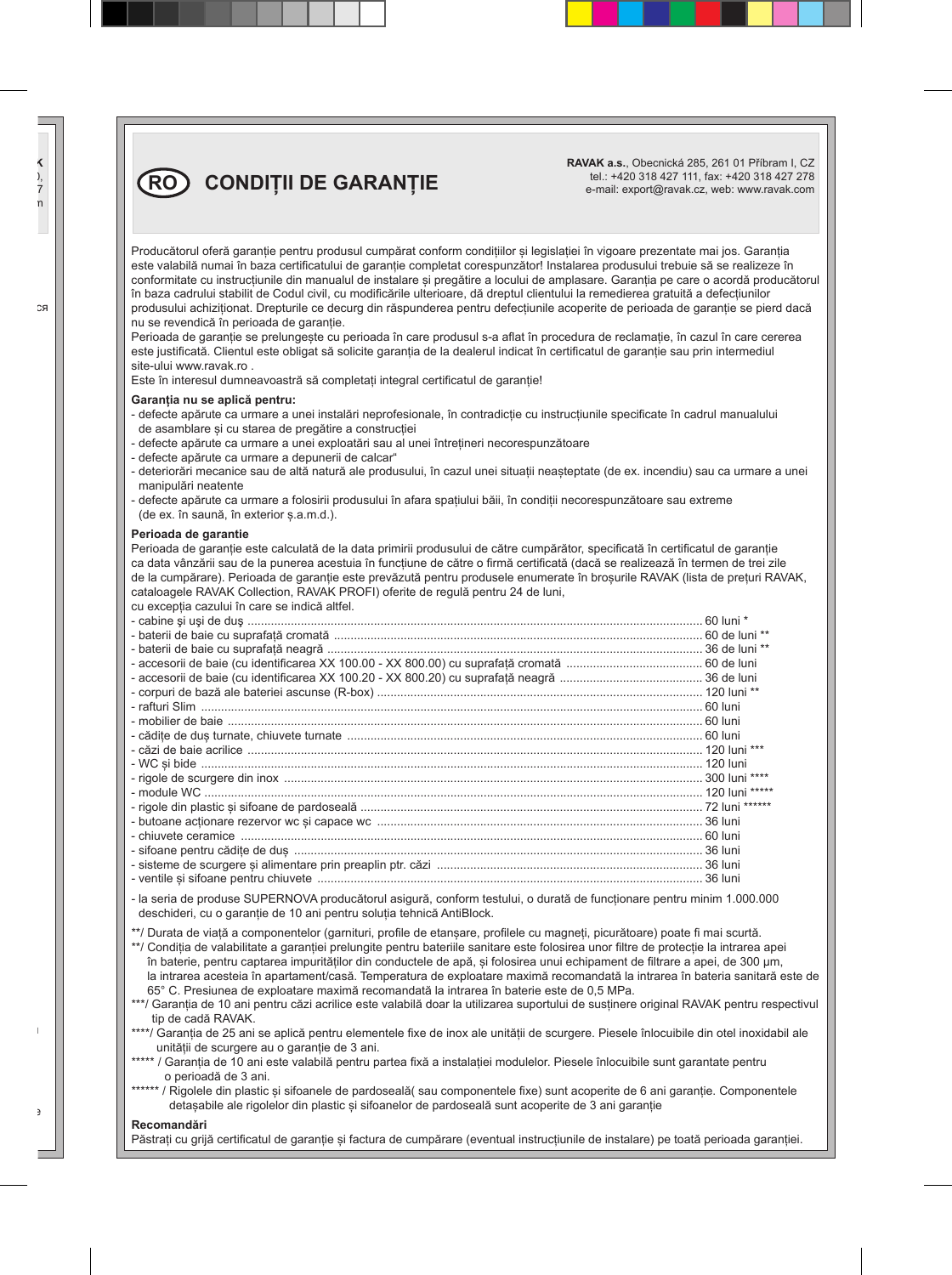**RAVAK a.s.**, Obecnická 285, 261 01 Příbram I, CZ tel.: +420 318 427 111, fax: +420 318 427 278 e-mail: export@ravak.cz, web: www.ravak.com

Producătorul oferă garanție pentru produsul cumpărat conform condițiilor și legislației în vigoare prezentate mai jos. Garanția este valabilă numai în baza certificatului de garanție completat corespunzător! Instalarea produsului trebuie să se realizeze în conformitate cu instrucțiunile din manualul de instalare și pregătire a locului de amplasare. Garanția pe care o acordă producătorul în baza cadrului stabilit de Codul civil, cu modificările ulterioare, dă dreptul clientului la remedierea gratuită a defecțiunilor produsului achiziționat. Drepturile ce decurg din răspunderea pentru defecțiunile acoperite de perioada de garanție se pierd dacă nu se revendică în perioada de garanție.

Perioada de garanție se prelungește cu perioada în care produsul s-a aflat în procedura de reclamație, în cazul în care cererea este justificată. Clientul este obligat să solicite garanția de la dealerul indicat în certificatul de garanție sau prin intermediul site-ului www.ravak.ro .

Este în interesul dumneavoastră să completați integral certificatul de garanție!

#### **Garanția nu se aplică pentru:**

- defecte apărute ca urmare a unei instalări neprofesionale, în contradicție cu instrucțiunile specificate în cadrul manualului de asamblare și cu starea de pregătire a construcției
- defecte apărute ca urmare a unei exploatări sau al unei întrețineri necorespunzătoare
- defecte apărute ca urmare a depunerii de calcar"

**RO CONDIȚII DE GARANȚIE** 

- deteriorări mecanice sau de altă natură ale produsului, în cazul unei situații neașteptate (de ex. incendiu) sau ca urmare a unei manipulări neatente
- defecte apărute ca urmare a folosirii produsului în afara spațiului băii, în condiții necorespunzătoare sau extreme (de ex. în saună, în exterior ș.a.m.d.).

#### **Perioada de garantie**

Perioada de garanție este calculată de la data primirii produsului de către cumpărător, specificată în certificatul de garanție ca data vânzării sau de la punerea acestuia în funcțiune de către o firmă certificată (dacă se realizează în termen de trei zile de la cumpărare). Perioada de garantie este prevăzută pentru produsele enumerate în broșurile RAVAK (lista de preturi RAVAK, cataloagele RAVAK Collection, RAVAK PROFI) oferite de regulă pentru 24 de luni,

cu excepția cazului în care se indică altfel.

- la seria de produse SUPERNOVA producătorul asigură, conform testului, o durată de funcționare pentru minim 1.000.000 deschideri, cu o garanție de 10 ani pentru soluția tehnică AntiBlock.

\*\*/ Durata de viață a componentelor (garnituri, profile de etanșare, profilele cu magneți, picurătoare) poate fi mai scurtă.

\*\*/ Condiția de valabilitate a garanției prelungite pentru bateriile sanitare este folosirea unor filtre de protecție la intrarea apei în baterie, pentru captarea impurităților din conductele de apă, și folosirea unui echipament de filtrare a apei, de 300 μm, la intrarea acesteia în apartament/casă. Temperatura de exploatare maximă recomandată la intrarea în bateria sanitară este de 65° C. Presiunea de exploatare maximă recomandată la intrarea în baterie este de 0,5 MPa.

\*\*\*/ Garanția de 10 ani pentru căzi acrilice este valabilă doar la utilizarea suportului de susținere original RAVAK pentru respectivul tip de cadă RAVAK.

- \*\*\*\*/ Garanția de 25 ani se aplică pentru elementele fixe de inox ale unității de scurgere. Piesele înlocuibile din otel inoxidabil ale unității de scurgere au o garanție de 3 ani.
- \*\*\*\*\* / Garantia de 10 ani este valabilă pentru partea fixă a instalației modulelor. Piesele înlocuibile sunt garantate pentru o perioadă de 3 ani.
- \*\*\*\*\*\* / Rigolele din plastic și sifoanele de pardoseală( sau componentele fixe) sunt acoperite de 6 ani garanție. Componentele detașabile ale rigolelor din plastic și sifoanelor de pardoseală sunt acoperite de 3 ani garanție

#### **Recomandări**

Păstrati cu grijă certificatul de garantie și factura de cumpărare (eventual instructiunile de instalare) pe toată perioada garantiei.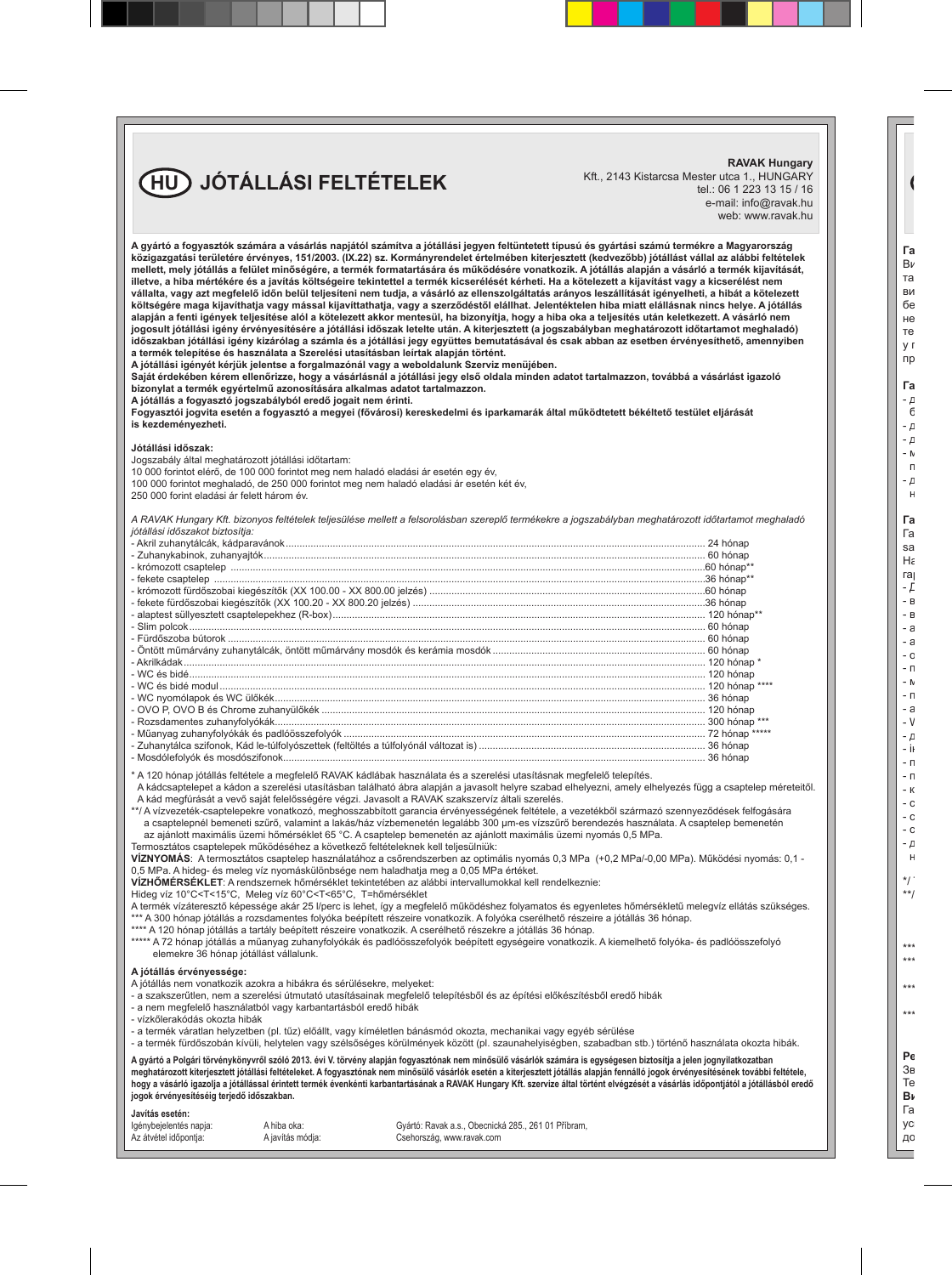### **HU JÓTÁLLÁSI FELTÉTELEK**

**RAVAK Hungary** Kft., 2143 Kistarcsa Mester utca 1., HUNGARY tel.: 06 1 223 13 15 / 16 e-mail: info@ravak.hu web: www.ravak.hu

| A gyártó a fogyasztók számára a vásárlás napjától számítva a jótállási jegyen feltüntetett típusú és gyártási számú termékre a Magyarország<br>közigazgatási területére érvényes, 151/2003. (IX.22) sz. Kormányrendelet értelmében kiterjesztett (kedvezőbb) jótállást vállal az alábbi feltételek<br>mellett, mely jótállás a felület minőségére, a termék formatartására és működésére vonatkozik. A jótállás alapján a vásárló a termék kijavítását,<br>illetve, a hiba mértékére és a javítás költségeire tekintettel a termék kicserélését kérheti. Ha a kötelezett a kijavítást vagy a kicserélést nem<br>vállalta, vagy azt megfelelő időn belül teljesíteni nem tudja, a vásárló az ellenszolgáltatás arányos leszállítását igényelheti, a hibát a kötelezett<br>költségére maga kijavíthatja vagy mással kijavíttathatja, vagy a szerződéstől elállhat. Jelentéktelen hiba miatt elállásnak nincs helye. A jótállás<br>alapján a fenti igények teljesítése alól a kötelezett akkor mentesül, ha bizonyítja, hogy a hiba oka a teljesítés után keletkezett. A vásárló nem<br>jogosult jótállási igény érvényesítésére a jótállási időszak letelte után. A kiterjesztett (a jogszabályban meghatározott időtartamot meghaladó)<br>időszakban jótállási igény kizárólag a számla és a jótállási jegy együttes bemutatásával és csak abban az esetben érvényesíthető, amennyiben<br>a termék telepítése és használata a Szerelési utasításban leírtak alapján történt.<br>A jótállási igényét kérjük jelentse a forgalmazónál vagy a weboldalunk Szerviz menüjében.<br>Saját érdekében kérem ellenőrizze, hogy a vásárlásnál a jótállási jegy első oldala minden adatot tartalmazzon, továbbá a vásárlást igazoló<br>bizonylat a termék egyértelmű azonosítására alkalmas adatot tartalmazzon.<br>A jótállás a fogyasztó jogszabályból eredő jogait nem érinti.<br>Fogyasztói jogvita esetén a fogyasztó a megyei (fővárosi) kereskedelmi és iparkamarák által működtetett békéltető testület eljárását<br>is kezdeményezheti. |  |
|-------------------------------------------------------------------------------------------------------------------------------------------------------------------------------------------------------------------------------------------------------------------------------------------------------------------------------------------------------------------------------------------------------------------------------------------------------------------------------------------------------------------------------------------------------------------------------------------------------------------------------------------------------------------------------------------------------------------------------------------------------------------------------------------------------------------------------------------------------------------------------------------------------------------------------------------------------------------------------------------------------------------------------------------------------------------------------------------------------------------------------------------------------------------------------------------------------------------------------------------------------------------------------------------------------------------------------------------------------------------------------------------------------------------------------------------------------------------------------------------------------------------------------------------------------------------------------------------------------------------------------------------------------------------------------------------------------------------------------------------------------------------------------------------------------------------------------------------------------------------------------------------------------------------------------------------------------------------------------------------------------------------------------------|--|
| Jótállási időszak:<br>Jogszabály által meghatározott jótállási időtartam:<br>10 000 forintot elérő, de 100 000 forintot meg nem haladó eladási ár esetén egy év,                                                                                                                                                                                                                                                                                                                                                                                                                                                                                                                                                                                                                                                                                                                                                                                                                                                                                                                                                                                                                                                                                                                                                                                                                                                                                                                                                                                                                                                                                                                                                                                                                                                                                                                                                                                                                                                                    |  |
| 100 000 forintot meghaladó, de 250 000 forintot meg nem haladó eladási ár esetén két év,<br>250 000 forint eladási ár felett három év.                                                                                                                                                                                                                                                                                                                                                                                                                                                                                                                                                                                                                                                                                                                                                                                                                                                                                                                                                                                                                                                                                                                                                                                                                                                                                                                                                                                                                                                                                                                                                                                                                                                                                                                                                                                                                                                                                              |  |
| A RAVAK Hungary Kft. bizonyos feltételek teljesülése mellett a felsorolásban szereplő termékekre a jogszabályban meghatározott időtartamot meghaladó<br>jótállási időszakot biztosítja:                                                                                                                                                                                                                                                                                                                                                                                                                                                                                                                                                                                                                                                                                                                                                                                                                                                                                                                                                                                                                                                                                                                                                                                                                                                                                                                                                                                                                                                                                                                                                                                                                                                                                                                                                                                                                                             |  |
|                                                                                                                                                                                                                                                                                                                                                                                                                                                                                                                                                                                                                                                                                                                                                                                                                                                                                                                                                                                                                                                                                                                                                                                                                                                                                                                                                                                                                                                                                                                                                                                                                                                                                                                                                                                                                                                                                                                                                                                                                                     |  |
|                                                                                                                                                                                                                                                                                                                                                                                                                                                                                                                                                                                                                                                                                                                                                                                                                                                                                                                                                                                                                                                                                                                                                                                                                                                                                                                                                                                                                                                                                                                                                                                                                                                                                                                                                                                                                                                                                                                                                                                                                                     |  |
|                                                                                                                                                                                                                                                                                                                                                                                                                                                                                                                                                                                                                                                                                                                                                                                                                                                                                                                                                                                                                                                                                                                                                                                                                                                                                                                                                                                                                                                                                                                                                                                                                                                                                                                                                                                                                                                                                                                                                                                                                                     |  |
|                                                                                                                                                                                                                                                                                                                                                                                                                                                                                                                                                                                                                                                                                                                                                                                                                                                                                                                                                                                                                                                                                                                                                                                                                                                                                                                                                                                                                                                                                                                                                                                                                                                                                                                                                                                                                                                                                                                                                                                                                                     |  |
|                                                                                                                                                                                                                                                                                                                                                                                                                                                                                                                                                                                                                                                                                                                                                                                                                                                                                                                                                                                                                                                                                                                                                                                                                                                                                                                                                                                                                                                                                                                                                                                                                                                                                                                                                                                                                                                                                                                                                                                                                                     |  |
|                                                                                                                                                                                                                                                                                                                                                                                                                                                                                                                                                                                                                                                                                                                                                                                                                                                                                                                                                                                                                                                                                                                                                                                                                                                                                                                                                                                                                                                                                                                                                                                                                                                                                                                                                                                                                                                                                                                                                                                                                                     |  |
|                                                                                                                                                                                                                                                                                                                                                                                                                                                                                                                                                                                                                                                                                                                                                                                                                                                                                                                                                                                                                                                                                                                                                                                                                                                                                                                                                                                                                                                                                                                                                                                                                                                                                                                                                                                                                                                                                                                                                                                                                                     |  |
|                                                                                                                                                                                                                                                                                                                                                                                                                                                                                                                                                                                                                                                                                                                                                                                                                                                                                                                                                                                                                                                                                                                                                                                                                                                                                                                                                                                                                                                                                                                                                                                                                                                                                                                                                                                                                                                                                                                                                                                                                                     |  |
|                                                                                                                                                                                                                                                                                                                                                                                                                                                                                                                                                                                                                                                                                                                                                                                                                                                                                                                                                                                                                                                                                                                                                                                                                                                                                                                                                                                                                                                                                                                                                                                                                                                                                                                                                                                                                                                                                                                                                                                                                                     |  |
| - Öntött műmárvány zuhanytálcák, öntött műmárvány mosdók és kerámia mosdók …………………………………………………………………………………60 hónap                                                                                                                                                                                                                                                                                                                                                                                                                                                                                                                                                                                                                                                                                                                                                                                                                                                                                                                                                                                                                                                                                                                                                                                                                                                                                                                                                                                                                                                                                                                                                                                                                                                                                                                                                                                                                                                                                                                  |  |
|                                                                                                                                                                                                                                                                                                                                                                                                                                                                                                                                                                                                                                                                                                                                                                                                                                                                                                                                                                                                                                                                                                                                                                                                                                                                                                                                                                                                                                                                                                                                                                                                                                                                                                                                                                                                                                                                                                                                                                                                                                     |  |
|                                                                                                                                                                                                                                                                                                                                                                                                                                                                                                                                                                                                                                                                                                                                                                                                                                                                                                                                                                                                                                                                                                                                                                                                                                                                                                                                                                                                                                                                                                                                                                                                                                                                                                                                                                                                                                                                                                                                                                                                                                     |  |
|                                                                                                                                                                                                                                                                                                                                                                                                                                                                                                                                                                                                                                                                                                                                                                                                                                                                                                                                                                                                                                                                                                                                                                                                                                                                                                                                                                                                                                                                                                                                                                                                                                                                                                                                                                                                                                                                                                                                                                                                                                     |  |
|                                                                                                                                                                                                                                                                                                                                                                                                                                                                                                                                                                                                                                                                                                                                                                                                                                                                                                                                                                                                                                                                                                                                                                                                                                                                                                                                                                                                                                                                                                                                                                                                                                                                                                                                                                                                                                                                                                                                                                                                                                     |  |
|                                                                                                                                                                                                                                                                                                                                                                                                                                                                                                                                                                                                                                                                                                                                                                                                                                                                                                                                                                                                                                                                                                                                                                                                                                                                                                                                                                                                                                                                                                                                                                                                                                                                                                                                                                                                                                                                                                                                                                                                                                     |  |
|                                                                                                                                                                                                                                                                                                                                                                                                                                                                                                                                                                                                                                                                                                                                                                                                                                                                                                                                                                                                                                                                                                                                                                                                                                                                                                                                                                                                                                                                                                                                                                                                                                                                                                                                                                                                                                                                                                                                                                                                                                     |  |
|                                                                                                                                                                                                                                                                                                                                                                                                                                                                                                                                                                                                                                                                                                                                                                                                                                                                                                                                                                                                                                                                                                                                                                                                                                                                                                                                                                                                                                                                                                                                                                                                                                                                                                                                                                                                                                                                                                                                                                                                                                     |  |
|                                                                                                                                                                                                                                                                                                                                                                                                                                                                                                                                                                                                                                                                                                                                                                                                                                                                                                                                                                                                                                                                                                                                                                                                                                                                                                                                                                                                                                                                                                                                                                                                                                                                                                                                                                                                                                                                                                                                                                                                                                     |  |
|                                                                                                                                                                                                                                                                                                                                                                                                                                                                                                                                                                                                                                                                                                                                                                                                                                                                                                                                                                                                                                                                                                                                                                                                                                                                                                                                                                                                                                                                                                                                                                                                                                                                                                                                                                                                                                                                                                                                                                                                                                     |  |
| * A 120 hónap jótállás feltétele a megfelelő RAVAK kádlábak használata és a szerelési utasításnak megfelelő telepítés.<br>A kádcsaptelepet a kádon a szerelési utasításban található ábra alapján a javasolt helyre szabad elhelyezni, amely elhelyezés függ a csaptelep méreteitől.<br>A kád megfúrását a vevő saját felelősségére végzi, Javasolt a RAVAK szakszervíz általi szerelés.<br>**/ A vízvezeték-csaptelepekre vonatkozó, meghosszabbított garancia érvényességének feltétele, a vezetékből származó szennyeződések felfogására<br>a csaptelepnél bemeneti szűrő, valamint a lakás/ház vízbemenetén legalább 300 um-es vízszűrő berendezés használata. A csaptelep bemenetén                                                                                                                                                                                                                                                                                                                                                                                                                                                                                                                                                                                                                                                                                                                                                                                                                                                                                                                                                                                                                                                                                                                                                                                                                                                                                                                                            |  |

a csaptelepnél bemeneti szűrő, valamint a lakás/ház vízbemenetén legalább 300 µm-es vízszűrő berendezés használata. A csaptelep bemenetén<br>az ajánlott maximális üzemi hőmérséklet 65 °C. A csaptelep bemenetén az ajánlott ma

Termosztátos csaptelepek működéséhez a következő feltételeknek kell teljesülniük:

**VÍZNYOMÁS**: A termosztátos csaptelep használatához a csőrendszerben az optimális nyomás 0,3 MPa (+0,2 MPa/-0,00 MPa). Működési nyomás: 0,1 - 0,5 MPa. A hideg- és meleg víz nyomáskülönbsége nem haladhatja meg a 0,05 MPa értéket.

**VÍZHŐMÉRSÉKLET**: A rendszernek hőmérséklet tekintetében az alábbi intervallumokkal kell rendelkeznie:

Hideg víz 10°C<T<15°C, Meleg víz 60°C<T<65°C, T=hőmérséklet

A termék vízáteresztő képessége akár 25 l/perc is lehet, így a megfelelő működéshez folyamatos és egyenletes hőmérsékletű melegvíz ellátás szükséges. \*\*\* A 300 hónap jótállás a rozsdamentes folyóka beépített részeire vonatkozik. A folyóka cserélhető részeire a jótállás 36 hónap.

\*\*\*\* A 120 hónap jótállás a tartály beépített részeire vonatkozik. A cserélhető részekre a jótállás 36 hónap.

\*\*\*\*\* A 72 hónap jótállás a műanyag zuhanyfolyókák és padlóösszefolyók beépített egységeire vonatkozik. A kiemelhető folyóka- és padlóösszefolyó elemekre 36 hónap jótállást vállalunk.

#### **A jótállás érvényessége:**

A jótállás nem vonatkozik azokra a hibákra és sérülésekre, melyeket:

- a szakszerűtlen, nem a szerelési útmutató utasításainak megfelelő telepítésből és az építési előkészítésből eredő hibák
- a nem megfelelő használatból vagy karbantartásból eredő hibák
- vízkőlerakódás okozta hibák
- a termék váratlan helyzetben (pl. tűz) előállt, vagy kíméletlen bánásmód okozta, mechanikai vagy egyéb sérülése
- a termék fürdőszobán kívüli, helytelen vagy szélsőséges körülmények között (pl. szaunahelyiségben, szabadban stb.) történő használata okozta hibák.

**A gyártó a Polgári törvénykönyvről szóló 2013. évi V. törvény alapján fogyasztónak nem minősülő vásárlók számára is egységesen biztosítja a jelen jognyilatkozatban meghatározott kiterjesztett jótállási feltételeket. A fogyasztónak nem minősülő vásárlók esetén a kiterjesztett jótállás alapján fennálló jogok érvényesítésének további feltétele, hogy a vásárló igazolja a jótállással érintett termék évenkénti karbantartásának a RAVAK Hungary Kft. szervize által történt elvégzését a vásárlás időpontjától a jótállásból eredő jogok érvényesítéséig terjedő időszakban.**

Javítás esetén:<br>**Igénybejelentés** napja:

Igénybejelentés napja: A hiba oka: (Gyártó: Ravak a.s., Obecnická 285., 261 01 Příbram, <br>Az átvétel időpontia: A javítás módia: (Gsehország, www.ravak.com Csehország, www.ravak.com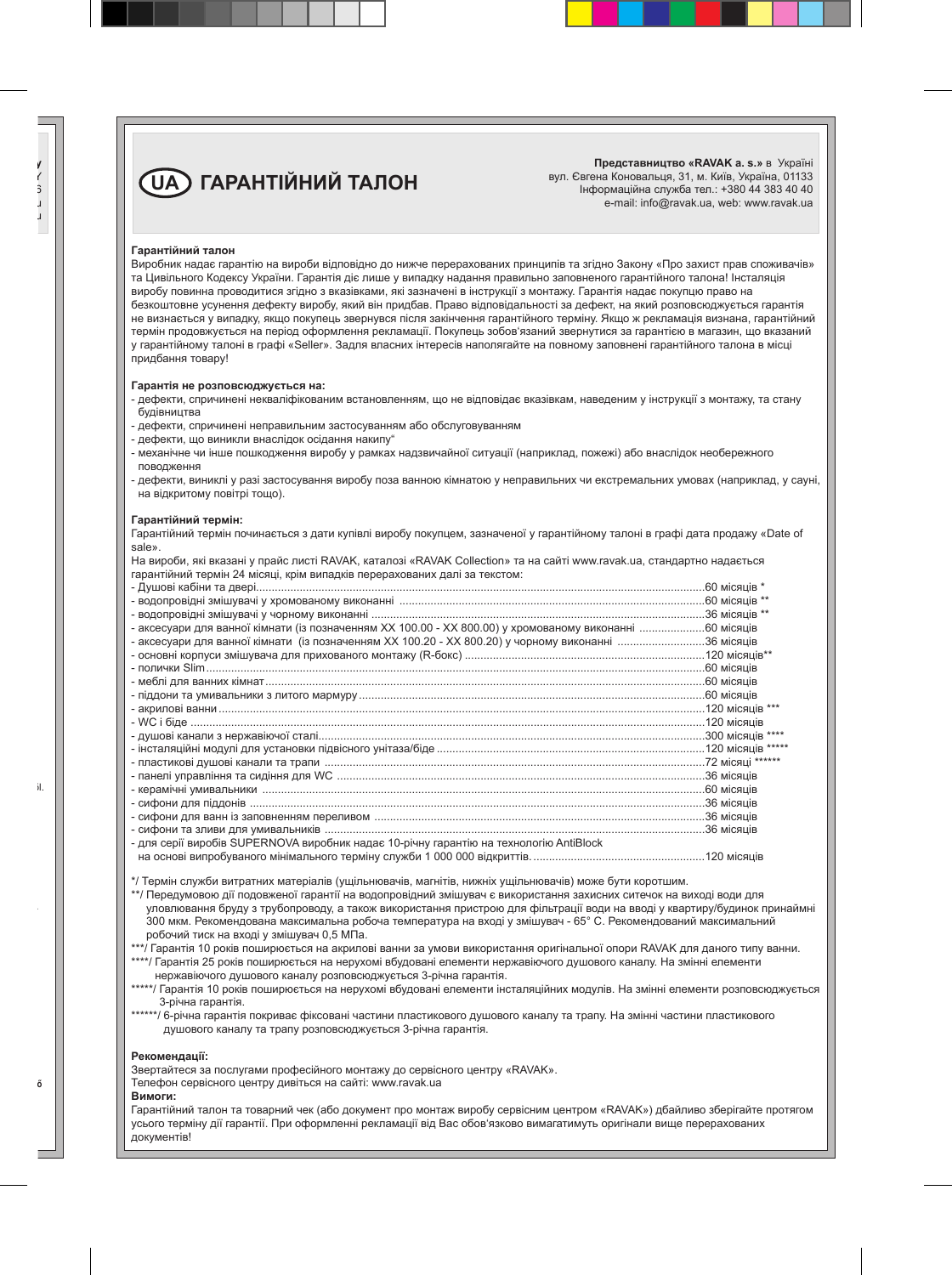## **UA ГАРАНТIЙНИЙ ТАЛОН**

**Представництво «RAVAK a. s.»** в Україні вул. Євгена Коновальця, 31, м. Київ, Україна, 01133 Інформаційна служба тел.: +380 44 383 40 40 e-mail: info@ravak.ua, web: www.ravak.ua

#### **Гарантійний талон**

Виробник надає гарантію на вироби відповідно до нижче перерахованих принципів та згідно Закону «Про захист прав споживачів» та Цивільного Кодексу України. Гарантія діє лише у випадку надання правильно заповненого гарантійного талона! Інсталяція виробу повинна проводитися згідно з вказівками, які зазначені в інструкції з монтажу. Гарантія надає покупцю право на безкоштовне усунення дефекту виробу, який він придбав. Право відповідальності за дефект, на який розповсюджується гарантія не визнається у випадку, якщо покупець звернувся після закінчення гарантійного терміну. Якщо ж рекламація визнана, гарантійний термін продовжується на період оформлення рекламації. Покупець зобов'язаний звернутися за гарантією в магазин, що вказаний у гарантійному талоні в графі «Seller». Задля власних інтересів наполягайте на повному заповнені гарантійного талона в місці придбання товару!

#### **Гарантія не розповсюджується на:**

- дефекти, спричинені некваліфікованим встановленням, що не відповідає вказівкам, наведеним у інструкції з монтажу, та стану будівництва
- дефекти, спричинені неправильним застосуванням або обслуговуванням
- дефекти, що виникли внаслідок осідання накипу"
- механічне чи інше пошкодження виробу у рамках надзвичайної ситуації (наприклад, пожежі) або внаслідок необережного поводження
- дефекти, виниклі у разі застосування виробу поза ванною кімнатою у неправильних чи екстремальних умовах (наприклад, у сауні, на відкритому повітрі тощо).

#### **Гарантійний термін:**

Гарантійний термін починається з дати купівлі виробу покупцем, зазначеної у гарантійному талоні в графі дата продажу «Date of sale».

На вироби, які вказані у прайс листі RAVAK, каталозі «RAVAK Collection» та на сайті www.ravak.ua, стандартно надається гарантійний термін 24 місяці, крім випадків перерахованих далі за текстом:

| - аксесуари для ванної кімнати (із позначенням XX 100.00 - XX 800.00) у хромованому виконанні 60 місяців |  |
|----------------------------------------------------------------------------------------------------------|--|
| - аксесуари для ванної кімнати (із позначенням XX 100.20 - XX 800.20) у чорному виконанні 36 місяців     |  |
|                                                                                                          |  |
|                                                                                                          |  |
|                                                                                                          |  |
|                                                                                                          |  |
|                                                                                                          |  |
|                                                                                                          |  |
|                                                                                                          |  |
|                                                                                                          |  |
|                                                                                                          |  |
|                                                                                                          |  |
|                                                                                                          |  |
|                                                                                                          |  |
|                                                                                                          |  |
|                                                                                                          |  |
| - для серії виробів SUPERNOVA виробник надає 10-річну гарантію на технологію AntiBlock                   |  |
|                                                                                                          |  |

\*/ Термін служби витратних матеріалів (ущільнювачів, магнітів, нижніх ущільнювачів) може бути коротшим.

- \*\*/ Передумовою дії подовженої гарантії на водопровідний змішувач є використання захисних ситечок на виході води для уловлювання бруду з трубопроводу, а також використання пристрою для фільтрації води на вводі у квартиру/будинок принаймні 300 мкм. Рекомендована максимальна робоча температура на вході у змішувач - 65° C. Рекомендований максимальний робочий тиск на вході у змішувач 0,5 МПа.
- \*\*\*/ Гарантія 10 років поширюється на акрилові ванни за умови використання оригінальної опори RAVAK для даного типу ванни. \*\*\*\*/ Гарантія 25 років поширюється на нерухомі вбудовані елементи нержавіючого душового каналу. На змінні елементи

нержавіючого душового каналу розповсюджується 3-річна гарантія.

- \*\*\*\*\*/ Гарантія 10 років поширюється на нерухомі вбудовані елементи інсталяційних модулів. На змінні елементи розповсюджується 3-річна гарантія.
- \*\*\*\*\*\*/ 6-річна гарантія покриває фіксовані частини пластикового душового каналу та трапу. На змінні частини пластикового душового каналу та трапу розповсюджується 3-річна гарантія.

#### **Рекомендації:**

Звертайтеся за послугами професійного монтажу до сервісного центру «RAVAK».

Телефон сервісного центру дивіться на сайті: www.ravak.ua

#### **Вимоги:**

Гарантійний талон та товарний чек (або документ про монтаж виробу сервісним центром «RAVAK») дбайливо зберігайте протягом усього терміну дії гарантії. При оформленні рекламації від Вас обов'язково вимагатимуть оригінали вище перерахованих документів!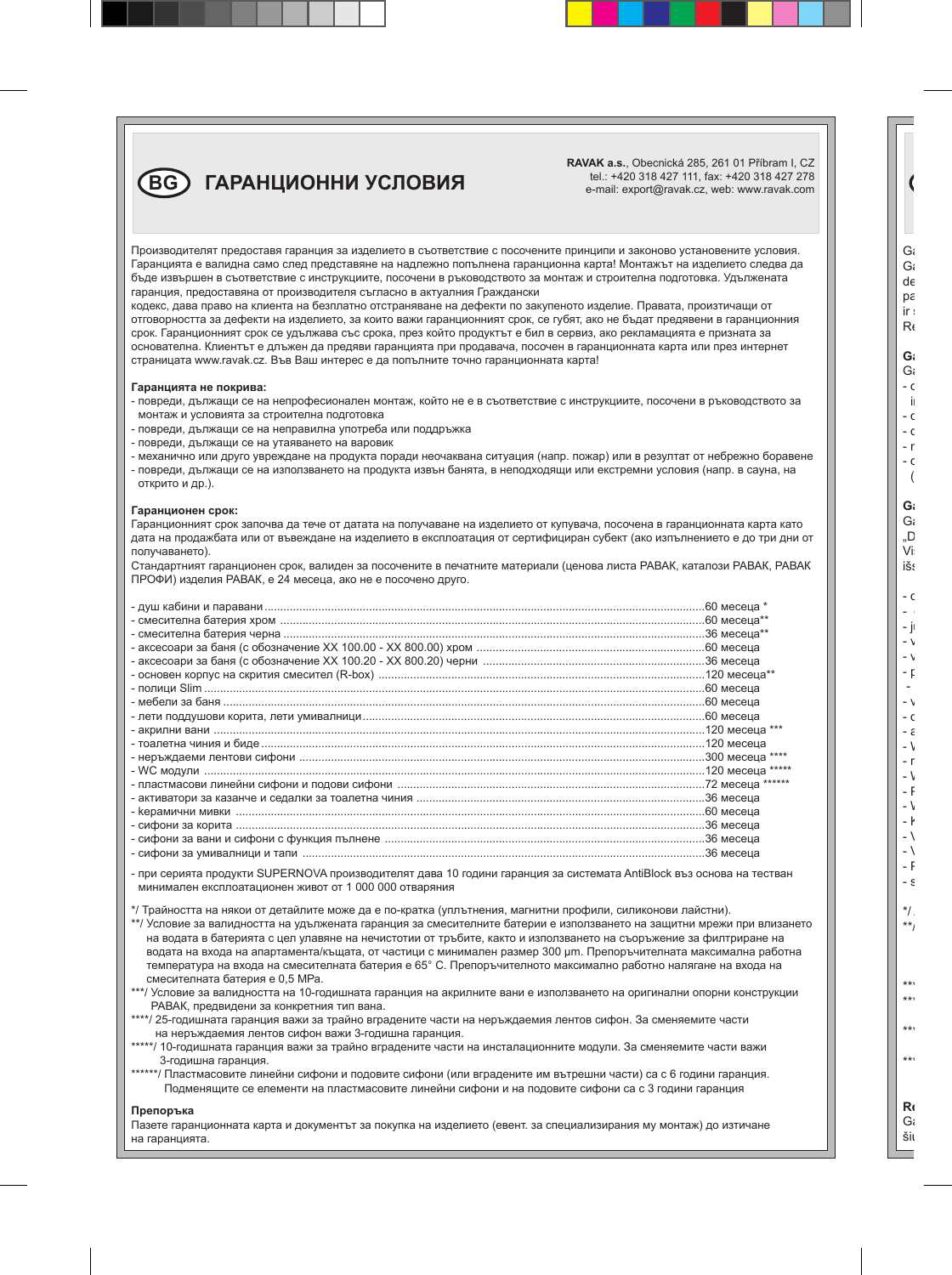**RAVAK a.s.**, Obecnická 285, 261 01 Příbram I, CZ tel.: +420 318 427 111, fax: +420 318 427 278 e-mail: export@ravak.cz, web: www.ravak.com

 $\overline{B}$ **BG ГАРАНЦИОННИ УСЛОВИЯ** 

Производителят предоставя гаранция за изделието в съответствие с посочените принципи и законово установените условия. Гаранцията е валидна само след представяне на надлежно попълнена гаранционна карта! Монтажът на изделието следва да бъде извършен в съответствие с инструкциите, посочени в ръководството за монтаж и строителна подготовка. Удължената гаранция, предоставяна от производителя съгласно в актуалния Граждански

кодекс, дава право на клиента на безплатно отстраняване на дефекти по закупеното изделие. Правата, произтичащи от отговорността за дефекти на изделието, за които важи гаранционният срок, се губят, ако не бъдат предявени в гаранционния срок. Гаранционният срок се удължава със срока, през който продуктът е бил в сервиз, ако рекламацията е призната за основателна. Клиентът е длъжен да предяви гаранцията при продавача, посочен в гаранционната карта или през интернет страницата www.ravak.cz. Във Ваш интерес е да попълните точно гаранционната карта!

#### **Гаранцията не покрива:**

- повреди, дължащи се на непрофесионален монтаж, който не е в съответствие с инструкциите, посочени в ръководството за монтаж и условията за строителна подготовка
- повреди, дължащи се на неправилна употреба или поддръжка
- повреди, дължащи се на утаяването на варовик
- механично или друго увреждане на продукта поради неочаквана ситуация (напр. пожар) или в резултат от небрежно боравене
- повреди, дължащи се на използването на продукта извън банята, в неподходящи или екстремни условия (напр. в сауна, на открито и др.).

#### **Гаранционен срок:**

Гаранционният срок започва да тече от датата на получаване на изделието от купувача, посочена в гаранционната карта като дата на продажбата или от въвеждане на изделието в експлоатация от сертифициран субект (ако изпълнението е до три дни от получаването).

Стандартният гаранционен срок, валиден за посочените в печатните материали (ценова листа РАВАК, каталози РАВАК, РАВАК ПРОФИ) изделия РАВАК, е 24 месеца, ако не е посочено друго.

- при серията продукти SUPERNOVA производителят дава 10 години гаранция за системата AntiBlock въз основа на тестван минимален експлоатационен живот от 1 000 000 отваряния

\*/ Трайността на някои от детайлите може да е по-кратка (уплътнения, магнитни профили, силиконови лайстни).

\*\*/ Условие за валидността на удължената гаранция за смесителните батерии е използването на защитни мрежи при влизането на водата в батерията с цел улавяне на нечистотии от тръбите, както и използването на съоръжение за филтриране на водата на входа на апартамента/къщата, от частици с минимален размер 300 μm. Препоръчителната максимална работна температура на входа на смесителната батерия е 65° C. Препоръчителното максимално работно налягане на входа на смесителната батерия е 0,5 МРа.

\*\*\*/ Условие за валидността на 10-годишната гаранция на акрилните вани е използването на оригинални опорни конструкции РАВАК, предвидени за конкретния тип вана.

- \*\*\*\*/ 25-годишната гаранция важи за трайно вградените части на неръждаемия лентов сифон. За сменяемите части на неръждаемия лентов сифон важи 3-годишна гаранция.
- \*\*\*\*\*/ 10-годишната гаранция важи за трайно вградените части на инсталационните модули. За сменяемите части важи 3-годишна гаранция.

\*\*\*\*\*/ Пластмасовите линейни сифони и подовите сифони (или вградените им вътрешни части) са с 6 години гаранция. Подменящите се елементи на пластмасовите линейни сифони и на подовите сифони са с 3 години гаранция

#### **Препоръка**

Пазете гаранционната карта и документът за покупка на изделието (евент. за специализирания му монтаж) до изтичане на гаранцията.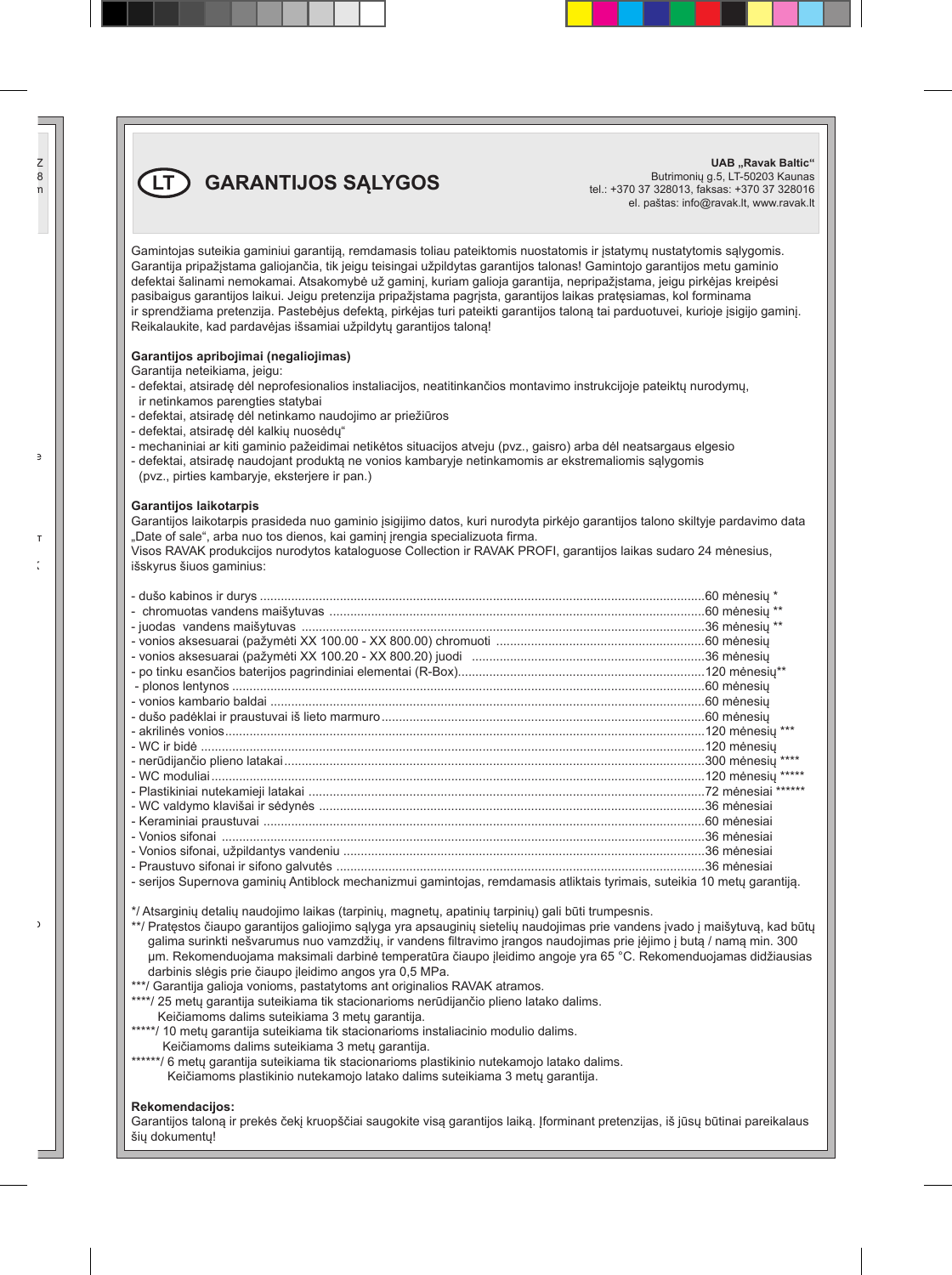**LT GARANTIJOS SĄLYGOS**

**UAB** ..Ravak Baltic" Butrimonių g.5, LT-50203 Kaunas tel.: +370 37 328013, faksas: +370 37 328016 el. paštas: info@ravak.lt, www.ravak.lt

Gamintojas suteikia gaminiui garantiją, remdamasis toliau pateiktomis nuostatomis ir įstatymų nustatytomis sąlygomis. Garantija pripažįstama galiojančia, tik jeigu teisingai užpildytas garantijos talonas! Gamintojo garantijos metu gaminio defektai šalinami nemokamai. Atsakomybė už gaminį, kuriam galioja garantija, nepripažįstama, jeigu pirkėjas kreipėsi pasibaigus garantijos laikui. Jeigu pretenzija pripažįstama pagrįsta, garantijos laikas pratęsiamas, kol forminama ir sprendžiama pretenzija. Pastebėjus defektą, pirkėjas turi pateikti garantijos taloną tai parduotuvei, kurioje įsigijo gaminį. Reikalaukite, kad pardavėjas išsamiai užpildytų garantijos taloną!

#### **Garantijos apribojimai (negaliojimas)**

Garantija neteikiama, jeigu:

- defektai, atsiradę dėl neprofesionalios instaliacijos, neatitinkančios montavimo instrukcijoje pateiktų nurodymų, ir netinkamos parengties statybai
- defektai, atsiradę dėl netinkamo naudojimo ar priežiūros
- defektai, atsiradę dėl kalkių nuosėdų"
- mechaniniai ar kiti gaminio pažeidimai netikėtos situacijos atveju (pvz., gaisro) arba dėl neatsargaus elgesio
- defektai, atsiradę naudojant produktą ne vonios kambaryje netinkamomis ar ekstremaliomis sąlygomis (pvz., pirties kambaryje, eksterjere ir pan.)

#### **Garantijos laikotarpis**

Garantijos laikotarpis prasideda nuo gaminio įsigijimo datos, kuri nurodyta pirkėjo garantijos talono skiltyje pardavimo data "Date of sale", arba nuo tos dienos, kai gaminį įrengia specializuota firma.

Visos RAVAK produkcijos nurodytos kataloguose Collection ir RAVAK PROFI, garantijos laikas sudaro 24 mėnesius, išskyrus šiuos gaminius:

| - serijos Supernova gaminių Antiblock mechanizmui gamintojas, remdamasis atliktais tyrimais, suteikia 10 metų garantija. |  |
|--------------------------------------------------------------------------------------------------------------------------|--|

\*/ Atsarginių detalių naudojimo laikas (tarpinių, magnetų, apatinių tarpinių) gali būti trumpesnis.

\*\*/ Pratestos čiaupo garantijos galiojimo sąlyga yra apsauginių sietelių naudojimas prie vandens įvado į maišytuvą, kad būtų galima surinkti nešvarumus nuo vamzdžių, ir vandens filtravimo įrangos naudojimas prie įėjimo į butą / namą min. 300 μm. Rekomenduojama maksimali darbinė temperatūra čiaupo įleidimo angoje yra 65 °C. Rekomenduojamas didžiausias darbinis slėgis prie čiaupo įleidimo angos yra 0,5 MPa.

\*\*\*/ Garantija galioja vonioms, pastatytoms ant originalios RAVAK atramos.

- \*\*\*\*/ 25 metu garantija suteikiama tik stacionarioms nerūdijančio plieno latako dalims. Keičiamoms dalims suteikiama 3 metų garantija.
- \*\*\*\*\*/ 10 metų garantija suteikiama tik stacionarioms instaliacinio modulio dalims. Keičiamoms dalims suteikiama 3 metų garantija.
- \*\*\*\*\*\*/ 6 metų garantija suteikiama tik stacionarioms plastikinio nutekamojo latako dalims. Keičiamoms plastikinio nutekamojo latako dalims suteikiama 3 metų garantija.

#### **Rekomendacijos:**

Garantijos taloną ir prekės čekį kruopščiai saugokite visą garantijos laiką. Įforminant pretenzijas, iš jūsų būtinai pareikalaus šių dokumentų!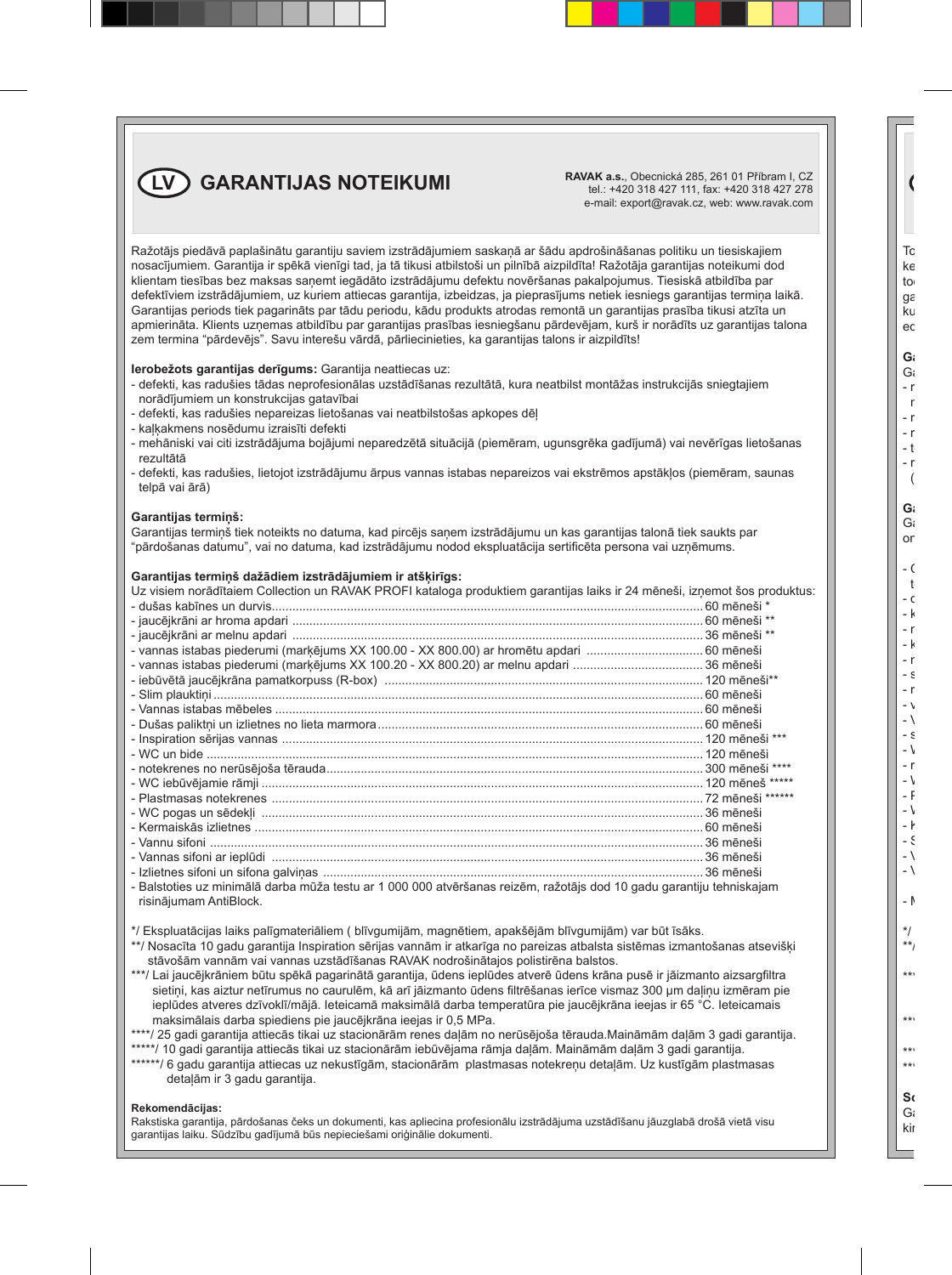**LV GARANTIJAS NOTEIKUMI EXAVAK a.s.**, Obecnická 285, 261 01 Příbram I, CZ

tel.: +420 318 427 111, fax: +420 318 427 278 e-mail: export@ravak.cz, web: www.ravak.com

Ražotājs piedāvā paplašinātu garantiju saviem izstrādājumiem saskaņā ar šādu apdrošināšanas politiku un tiesiskajiem nosacījumiem. Garantija ir spēkā vienīgi tad, ja tā tikusi atbilstoši un pilnībā aizpildīta! Ražotāja garantijas noteikumi dod klientam tiesības bez maksas saņemt iegādāto izstrādājumu defektu novēršanas pakalpojumus. Tiesiskā atbildība par defektīviem izstrādājumiem, uz kuriem attiecas garantija, izbeidzas, ja pieprasījums netiek iesniegs garantijas termiņa laikā. Garantijas periods tiek pagarināts par tādu periodu, kādu produkts atrodas remontā un garantijas prasība tikusi atzīta un apmierināta. Klients uzņemas atbildību par garantijas prasības iesniegšanu pārdevējam, kurš ir norādīts uz garantijas talona zem termina "pārdevējs". Savu interešu vārdā, pārliecinieties, ka garantijas talons ir aizpildīts!

#### **Ierobežots garantijas derīgums:** Garantija neattiecas uz:

- defekti, kas radušies tādas neprofesionālas uzstādīšanas rezultātā, kura neatbilst montāžas instrukcijās sniegtajiem norādījumiem un konstrukcijas gatavībai
- defekti, kas radušies nepareizas lietošanas vai neatbilstošas apkopes dēļ
- kaļķakmens nosēdumu izraisīti defekti
- mehāniski vai citi izstrādājuma bojājumi neparedzētā situācijā (piemēram, ugunsgrēka gadījumā) vai nevērīgas lietošanas rezultātā
- defekti, kas radušies, lietojot izstrādājumu ārpus vannas istabas nepareizos vai ekstrēmos apstākļos (piemēram, saunas telpā vai ārā)

#### **Garantijas termiņš:**

Garantijas termiņš tiek noteikts no datuma, kad pircējs saņem izstrādājumu un kas garantijas talonā tiek saukts par "pārdošanas datumu", vai no datuma, kad izstrādājumu nodod ekspluatācija sertificēta persona vai uzņēmums.

#### **Garantijas termiņš dažādiem izstrādājumiem ir atšķirīgs:**

| Uz visiem norādītaiem Collection un RAVAK PROFI kataloga produktiem garantijas laiks ir 24 mēneši, izņemot šos produktus: |  |
|---------------------------------------------------------------------------------------------------------------------------|--|
|                                                                                                                           |  |
|                                                                                                                           |  |
|                                                                                                                           |  |
|                                                                                                                           |  |
|                                                                                                                           |  |
|                                                                                                                           |  |
|                                                                                                                           |  |
|                                                                                                                           |  |
|                                                                                                                           |  |
|                                                                                                                           |  |
|                                                                                                                           |  |
|                                                                                                                           |  |
|                                                                                                                           |  |
|                                                                                                                           |  |
|                                                                                                                           |  |
|                                                                                                                           |  |
|                                                                                                                           |  |
|                                                                                                                           |  |
|                                                                                                                           |  |
| - Balstoties uz minimālā darba mūža testu ar 1 000 000 atvēršanas reizēm, ražotāis dod 10 gadu garantiju tehniskajam      |  |
| risinājumam AntiBlock.                                                                                                    |  |

- \*/ Ekspluatācijas laiks palīgmateriāliem ( blīvgumijām, magnētiem, apakšējām blīvgumijām) var būt īsāks.
- \*\*/ Nosacīta 10 gadu garantija Inspiration sērijas vannām ir atkarīga no pareizas atbalsta sistēmas izmantošanas atsevišķi stāvošām vannām vai vannas uzstādīšanas RAVAK nodrošinātajos polistirēna balstos.
- \*\*\*/ Lai jaucējkrāniem būtu spēkā pagarinātā garantija, ūdens ieplūdes atverē ūdens krāna pusē ir jāizmanto aizsargfiltra sietini, kas aiztur netīrumus no caurulēm, kā arī jāizmanto ūdens filtrēšanas ierīce vismaz 300 µm dalinu izmēram pie ieplūdes atveres dzīvoklī/mājā. Ieteicamā maksimālā darba temperatūra pie jaucējkrāna ieejas ir 65 °C. Ieteicamais maksimālais darba spiediens pie jaucējkrāna ieejas ir 0,5 MPa.
- \*\*\*\*/ 25 gadi garantija attiecās tikai uz stacionārām renes daļām no nerūsējoša tērauda.Maināmām daļām 3 gadi garantija. \*\*\*\*\*/ 10 gadi garantija attiecās tikai uz stacionārām iebūvējama rāmja daļām. Maināmām daļām 3 gadi garantija.
- \*\*\*\*\*\*/ 6 gadu garantija attiecas uz nekustīgām, stacionārām plastmasas notekreņu detaļām. Uz kustīgām plastmasas detaļām ir 3 gadu garantija.

#### **Rekomendācijas:**

Rakstiska garantija, pārdošanas čeks un dokumenti, kas apliecina profesionālu izstrādājuma uzstādīšanu jāuzglabā drošā vietā visu garantijas laiku. Sūdzību gadījumā būs nepieciešami oriģinālie dokumenti.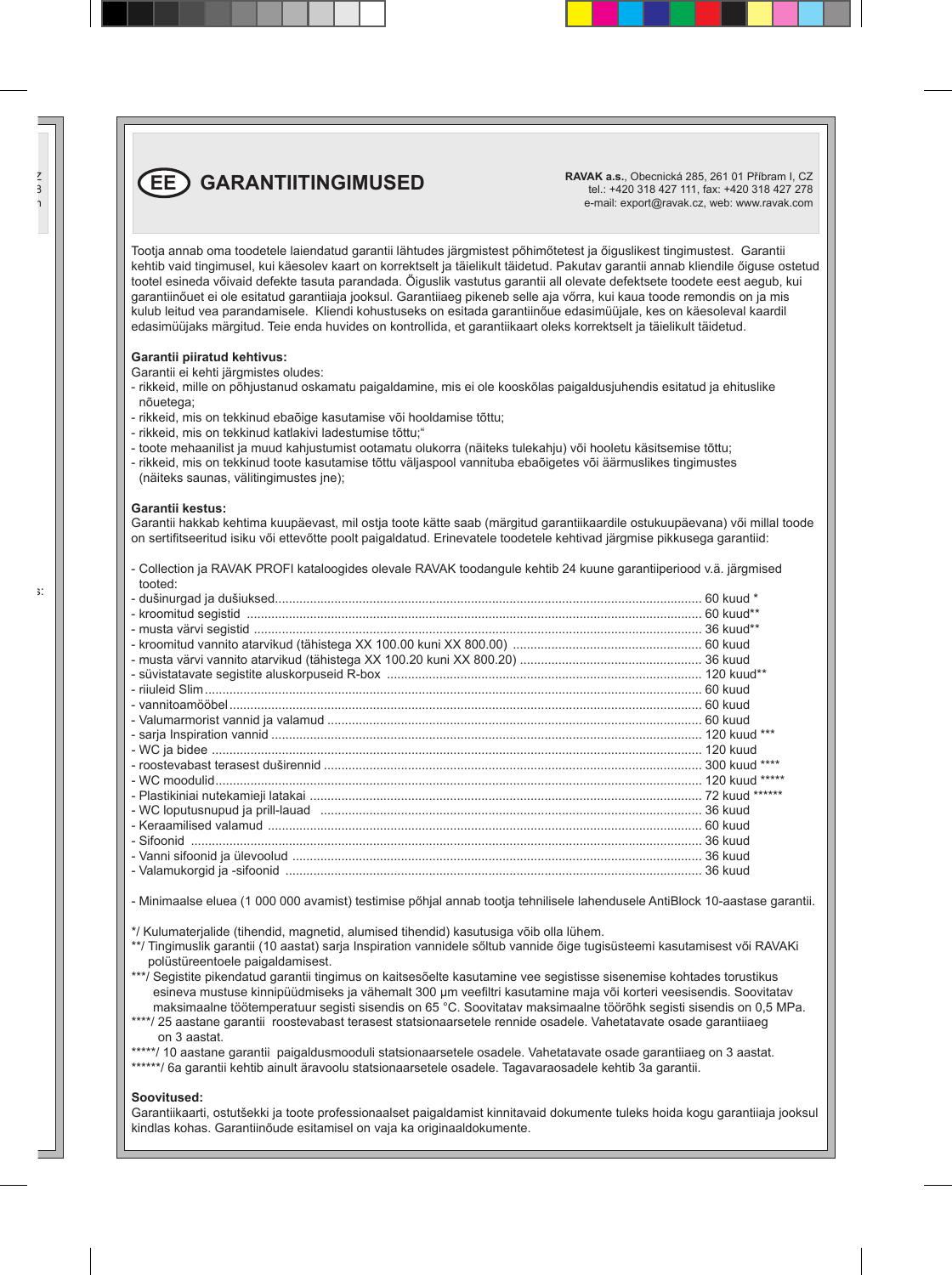**EE GARANTIITINGIMUSED RAVAK a.s.**, Obecnická 285, 261 01 Příbram I, CZ

tel.: +420 318 427 111, fax: +420 318 427 278 e-mail: export@ravak.cz, web: www.ravak.com

Tootja annab oma toodetele laiendatud garantii lähtudes järgmistest pőhimőtetest ja őiguslikest tingimustest. Garantii kehtib vaid tingimusel, kui käesolev kaart on korrektselt ja täielikult täidetud. Pakutav garantii annab kliendile őiguse ostetud tootel esineda vőivaid defekte tasuta parandada. Őiguslik vastutus garantii all olevate defektsete toodete eest aegub, kui garantiinőuet ei ole esitatud garantiiaja jooksul. Garantiiaeg pikeneb selle aja vőrra, kui kaua toode remondis on ja mis kulub leitud vea parandamisele. Kliendi kohustuseks on esitada garantiinőue edasimüüjale, kes on käesoleval kaardil edasimüüjaks märgitud. Teie enda huvides on kontrollida, et garantiikaart oleks korrektselt ja täielikult täidetud.

#### **Garantii piiratud kehtivus:**

Garantii ei kehti järgmistes oludes:

- rikkeid, mille on põhjustanud oskamatu paigaldamine, mis ei ole kooskõlas paigaldusjuhendis esitatud ja ehituslike nõuetega;
- rikkeid, mis on tekkinud ebaõige kasutamise või hooldamise tõttu;
- rikkeid, mis on tekkinud katlakivi ladestumise tõttu;"
- toote mehaanilist ja muud kahjustumist ootamatu olukorra (näiteks tulekahju) või hooletu käsitsemise tõttu;
- rikkeid, mis on tekkinud toote kasutamise tõttu väljaspool vannituba ebaõigetes või äärmuslikes tingimustes (näiteks saunas, välitingimustes jne);

#### **Garantii kestus:**

Garantii hakkab kehtima kuupäevast, mil ostia toote kätte saab (märgitud garantiikaardile ostukuupäevana) vői millal toode on sertifitseeritud isiku vői ettevőtte poolt paigaldatud. Erinevatele toodetele kehtivad järgmise pikkusega garantiid:

- Collection ja RAVAK PROFI kataloogides olevale RAVAK toodangule kehtib 24 kuune garantiiperiood v.ä. järgmised tooted:

- Minimaalse eluea (1 000 000 avamist) testimise pőhjal annab tootja tehnilisele lahendusele AntiBlock 10-aastase garantii.

\*/ Kulumaterjalide (tihendid, magnetid, alumised tihendid) kasutusiga võib olla lühem.

- \*\*/ Tingimuslik garantii (10 aastat) sarja Inspiration vannidele sőltub vannide őige tugisüsteemi kasutamisest vői RAVAKi polüstüreentoele paigaldamisest.
- \*\*\*/ Segistite pikendatud garantii tingimus on kaitsesõelte kasutamine vee segistisse sisenemise kohtades torustikus esineva mustuse kinnipüüdmiseks ja vähemalt 300 μm veefiltri kasutamine maja või korteri veesisendis. Soovitatav maksimaalne töötemperatuur segisti sisendis on 65 °C. Soovitatav maksimaalne töörõhk segisti sisendis on 0,5 MPa.
- \*\*\*\*/ 25 aastane garantii roostevabast terasest statsionaarsetele rennide osadele. Vahetatavate osade garantiiaeg on 3 aastat.

\*\*\*\*\*/ 10 aastane garantii paigaldusmooduli statsionaarsetele osadele. Vahetatavate osade garantiiaeg on 3 aastat. \*\*\*\*\*\*/ 6a garantii kehtib ainult äravoolu statsionaarsetele osadele. Tagavaraosadele kehtib 3a garantii.

#### **Soovitused:**

Garantiikaarti, ostutšekki ja toote professionaalset paigaldamist kinnitavaid dokumente tuleks hoida kogu garantiiaja jooksul kindlas kohas. Garantiinőude esitamisel on vaja ka originaaldokumente.